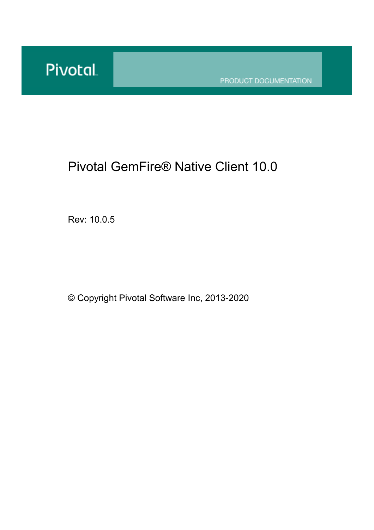PRODUCT DOCUMENTATION

# Pivotal GemFire® Native Client 10.0

Rev: 10.0.5

© Copyright Pivotal Software Inc, 2013-2020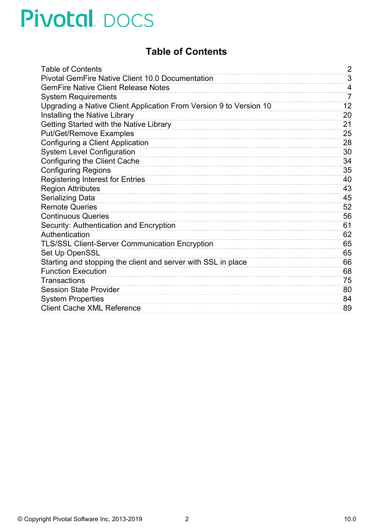## **Table of Contents**

<span id="page-1-0"></span>

| <b>Table of Contents</b>                                           | $\overline{2}$ |
|--------------------------------------------------------------------|----------------|
| <b>Pivotal GemFire Native Client 10.0 Documentation</b>            | $\overline{3}$ |
| <b>GemFire Native Client Release Notes</b>                         | 4              |
| <b>System Requirements</b>                                         | 7              |
| Upgrading a Native Client Application From Version 9 to Version 10 | 12             |
| Installing the Native Library                                      | 20             |
| Getting Started with the Native Library                            | 21             |
| <b>Put/Get/Remove Examples</b>                                     | 25             |
| Configuring a Client Application                                   | 28             |
| <b>System Level Configuration</b>                                  | 30             |
| Configuring the Client Cache                                       | 34             |
| <b>Configuring Regions</b>                                         | 35             |
| <b>Registering Interest for Entries</b>                            | 40             |
| <b>Region Attributes</b>                                           | 43             |
| <b>Serializing Data</b>                                            | 45             |
| <b>Remote Queries</b>                                              | 52             |
| <b>Continuous Queries</b>                                          | 56             |
| Security: Authentication and Encryption                            | 61             |
| Authentication                                                     | 62             |
| <b>TLS/SSL Client-Server Communication Encryption</b>              | 65             |
| Set Up OpenSSL                                                     | 65             |
| Starting and stopping the client and server with SSL in place      | 66             |
| <b>Function Execution</b>                                          | 68             |
| <b>Transactions</b>                                                | 75             |
| <b>Session State Provider</b>                                      | 80             |
| <b>System Properties</b>                                           | 84             |
| <b>Client Cache XML Reference</b>                                  | 89             |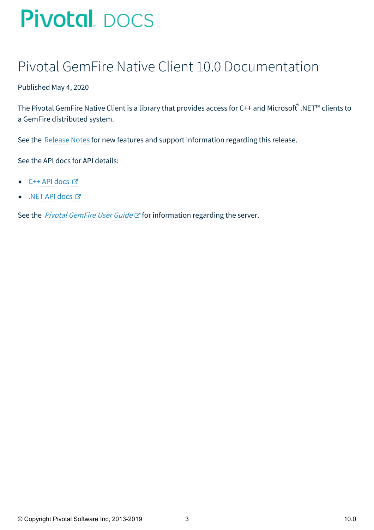# <span id="page-2-0"></span>Pivotal GemFire Native Client 10.0 Documentation

Published May 4, 2020

The Pivotal GemFire Native Client is a library that provides access for C++ and Microsoft ဳ.NET™ clients to a GemFire distributed system.

See the [Release](#page-4-0) Notes for new features and support information regarding this release.

See the API docs for API details:

- $\bullet$  C++ API [docs](http://docs-gemfire-nativeclient-staging.cfapps.io/100/gemfire-native-client/cppdocs)  $\circledcirc$
- .NET API [docs](http://docs-gemfire-nativeclient-staging.cfapps.io/100/gemfire-native-client/dotnetdocs) &

See the Pivotal [GemFire](http://docs-gemfire-nativeclient-staging.cfapps.io/100/gemfire-native-client/gemfireman/about_gemfire.html) User Guide  $C$  for information regarding the server.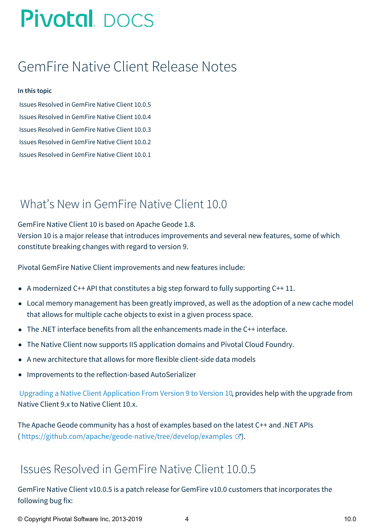# <span id="page-3-0"></span>GemFire Native Client Release Notes

### **In this topic**

Issues [Resolved](#page-3-1) in GemFire Native Client 10.0.5 Issues [Resolved](#page-4-1) in GemFire Native Client 10.0.4 Issues [Resolved](#page-4-2) in GemFire Native Client 10.0.3 Issues [Resolved](#page-4-3) in GemFire Native Client 10.0.2 Issues [Resolved](#page-5-0) in GemFire Native Client 10.0.1

## What's New in GemFire Native Client 10.0

### GemFire Native Client 10 is based on Apache Geode 1.8.

Version 10 is a major release that introduces improvements and several new features, some of which constitute breaking changes with regard to version 9.

Pivotal GemFire Native Client improvements and new features include:

- A modernized C++ API that constitutes a big step forward to fully supporting C++ 11.
- Local memory management has been greatly improved, as well as the adoption of a new cache model that allows for multiple cache objects to exist in a given process space.
- The .NET interface benefits from all the enhancements made in the C++ interface.
- The Native Client now supports IIS application domains and Pivotal Cloud Foundry.
- A new architecture that allows for more flexible client-side data models
- Improvements to the reflection-based AutoSerializer

Upgrading a Native Client [Application](#page-14-0) From Version 9 to Version 10, provides help with the upgrade from Native Client 9.x to Native Client 10.x.

The Apache Geode community has a host of examples based on the latest C++ and .NET APIs ( <https://github.com/apache/geode-native/tree/develop/examples>  $\mathbb{C}$ ).

## <span id="page-3-1"></span>Issues Resolved in GemFire Native Client 10.0.5

GemFire Native Client v10.0.5 is a patch release for GemFire v10.0 customers that incorporates the following bug fix:

© Copyright Pivotal Software Inc, 2013-2019 4 10.0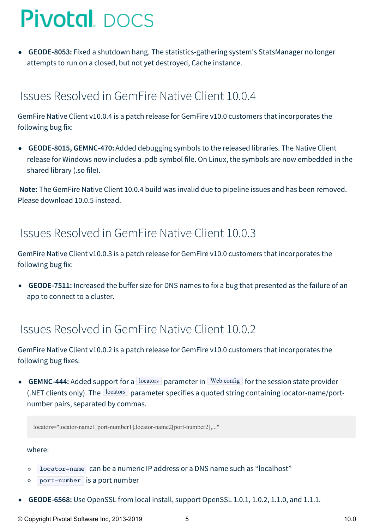<span id="page-4-0"></span>**GEODE-8053:** Fixed a shutdown hang. The statistics-gathering system's StatsManager no longer attempts to run on a closed, but not yet destroyed, Cache instance.

## <span id="page-4-1"></span>Issues Resolved in GemFire Native Client 10.0.4

GemFire Native Client v10.0.4 is a patch release for GemFire v10.0 customers that incorporates the following bug fix:

**GEODE-8015, GEMNC-470:** Added debugging symbols to the released libraries. The Native Client release for Windows now includes a .pdb symbol file. On Linux, the symbols are now embedded in the shared library (.so file).

**Note:** The GemFire Native Client 10.0.4 build was invalid due to pipeline issues and has been removed. Please download 10.0.5 instead.

## <span id="page-4-2"></span>Issues Resolved in GemFire Native Client 10.0.3

GemFire Native Client v10.0.3 is a patch release for GemFire v10.0 customers that incorporates the following bug fix:

**GEODE-7511:** Increased the buffer size for DNS names to fix a bug that presented as the failure of an app to connect to a cluster.

## <span id="page-4-3"></span>Issues Resolved in GemFire Native Client 10.0.2

GemFire Native Client v10.0.2 is a patch release for GemFire v10.0 customers that incorporates the following bug fixes:

**GEMNC-444:** Added support for a locators parameter in Web.config for the session state provider (.NET clients only). The **locators** parameter specifies a quoted string containing locator-name/portnumber pairs, separated by commas.

locators="locator-name1[port-number1],locator-name2[port-number2],..."

### where:

- locator-name can be a numeric IP address or a DNS name such as "localhost"  $\circ$
- port-number is a port number  $\circ$
- **GEODE-6568:** Use OpenSSL from local install, support OpenSSL 1.0.1, 1.0.2, 1.1.0, and 1.1.1.

© Copyright Pivotal Software Inc, 2013-2019 5 10.0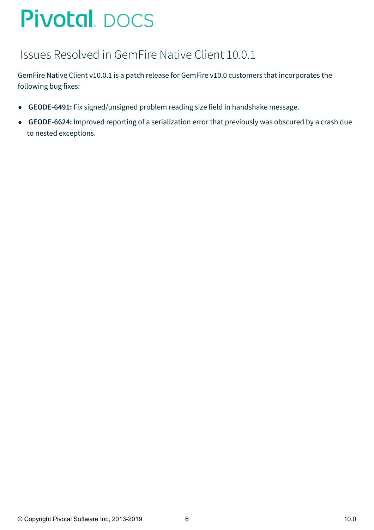# <span id="page-5-0"></span>Issues Resolved in GemFire Native Client 10.0.1

GemFire Native Client v10.0.1 is a patch release for GemFire v10.0 customers that incorporates the following bug fixes:

- **GEODE-6491:** Fix signed/unsigned problem reading size field in handshake message.  $\bullet$
- **GEODE-6624:** Improved reporting of a serialization error that previously was obscured by a crash due  $\bullet$ to nested exceptions.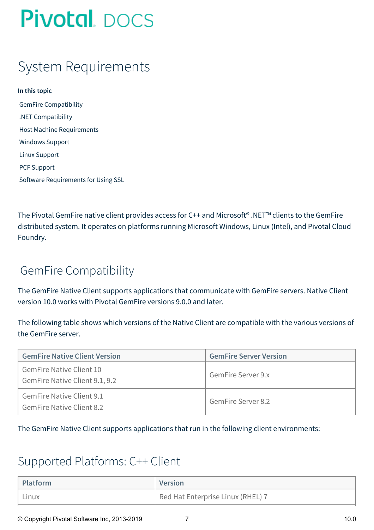# <span id="page-6-0"></span>System Requirements

**In this topic** GemFire [Compatibility](#page-6-1) .NET [Compatibility](#page-7-0) Host Machine [Requirements](#page-7-1) [Windows](#page-8-0) Support Linux [Support](#page-8-1) PCF [Support](#page-9-0) Software [Requirements](#page-9-1) for Using SSL

The Pivotal GemFire native client provides access for C++ and Microsoft® .NET™ clients to the GemFire distributed system. It operates on platforms running Microsoft Windows, Linux (Intel), and Pivotal Cloud Foundry.

# <span id="page-6-1"></span>GemFire Compatibility

The GemFire Native Client supports applications that communicate with GemFire servers. Native Client version 10.0 works with Pivotal GemFire versions 9.0.0 and later.

The following table shows which versions of the Native Client are compatible with the various versions of the GemFire server.

| <b>GemFire Native Client Version</b>                                 | <b>GemFire Server Version</b> |
|----------------------------------------------------------------------|-------------------------------|
| <b>GemFire Native Client 10</b><br>GemFire Native Client 9.1, 9.2    | <b>GemFire Server 9.x</b>     |
| <b>GemFire Native Client 9.1</b><br><b>GemFire Native Client 8.2</b> | <b>GemFire Server 8.2</b>     |

The GemFire Native Client supports applications that run in the following client environments:

## Supported Platforms: C++ Client

| <b>Platform</b> | <b>Version</b>                    |
|-----------------|-----------------------------------|
| Linux           | Red Hat Enterprise Linux (RHEL) 7 |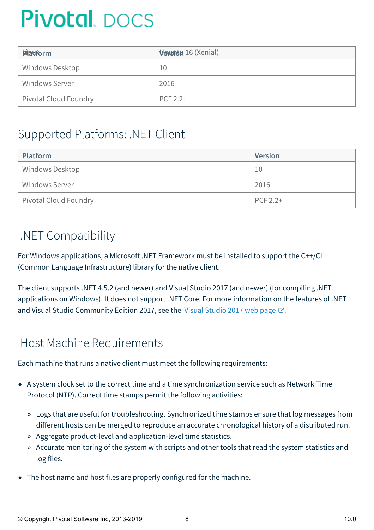| <b>Platform</b>              | Version 16 (Xenial) |
|------------------------------|---------------------|
| <b>Windows Desktop</b>       | 10                  |
| Windows Server               | 2016                |
| <b>Pivotal Cloud Foundry</b> | $PCF 2.2+$          |

## Supported Platforms: .NET Client

| <b>Platform</b>              | <b>Version</b> |
|------------------------------|----------------|
| <b>Windows Desktop</b>       | 10             |
| <b>Windows Server</b>        | 2016           |
| <b>Pivotal Cloud Foundry</b> | $PCF 2.2+$     |

# <span id="page-7-0"></span>.NET Compatibility

For Windows applications, a Microsoft .NET Framework must be installed to support the C++/CLI (Common Language Infrastructure) library for the native client.

The client supports .NET 4.5.2 (and newer) and Visual Studio 2017 (and newer) (for compiling .NET applications on Windows). It does not support .NET Core. For more information on the features of .NET and Visual [Studio](https://docs.microsoft.com/en-us/visualstudio/releasenotes/vs2017-relnotes) Community Edition 2017, see the Visual Studio 2017 web page  $\mathbb{Z}$ .

## <span id="page-7-1"></span>Host Machine Requirements

Each machine that runs a native client must meet the following requirements:

- A system clock set to the correct time and a time synchronization service such as Network Time Protocol (NTP). Correct time stamps permit the following activities:
	- Logs that are useful for troubleshooting. Synchronized time stamps ensure that log messages from different hosts can be merged to reproduce an accurate chronological history of a distributed run.
	- Aggregate product-level and application-level time statistics.
	- o Accurate monitoring of the system with scripts and other tools that read the system statistics and log files.
- The host name and host files are properly configured for the machine.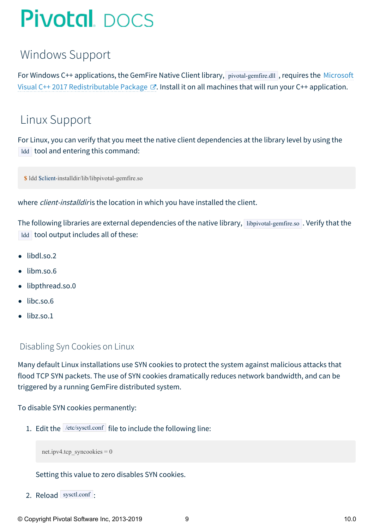## <span id="page-8-2"></span><span id="page-8-0"></span>Windows Support

For Windows C++ applications, the GemFire Native Client library, pivotal-gemfire.dll, requires the Microsoft Visual C++ 2017 [Redistributable](https://visualstudio.microsoft.com/downloads) Package  $\mathbb{Z}$ . Install it on all machines that will run your C++ application.

## <span id="page-8-1"></span>Linux Support

For Linux, you can verify that you meet the native client dependencies at the library level by using the ldd tool and entering this command:

**\$** ldd \$client-installdir/lib/libpivotal-gemfire.so

where *client-installdir* is the location in which you have installed the client.

The following libraries are external dependencies of the native library, libpivotal-gemfire.so. Verify that the ldd tool output includes all of these:

- libdl.so.2
- libm.so.6
- libpthread.so.0  $\bullet$
- libc.so.6
- $\bullet$  libz.so.1

### Disabling Syn Cookies on Linux

Many default Linux installations use SYN cookies to protect the system against malicious attacks that flood TCP SYN packets. The use of SYN cookies dramatically reduces network bandwidth, and can be triggered by a running GemFire distributed system.

To disable SYN cookies permanently:

1. Edit the *letc/sysctl.conf* file to include the following line:

net.ipv4.tcp\_syncookies =  $0$ 

Setting this value to zero disables SYN cookies.

2. Reload sysctl.conf :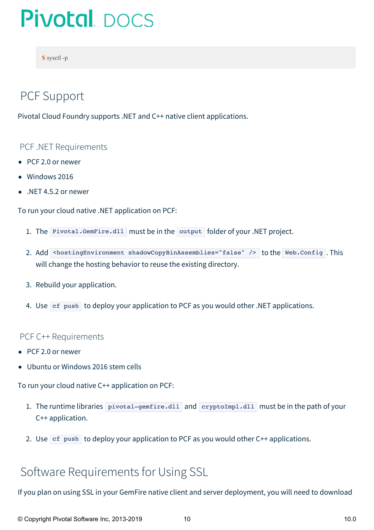**\$** sysctl -p

## <span id="page-9-0"></span>PCF Support

Pivotal Cloud Foundry supports .NET and C++ native client applications.

### PCF .NET Requirements

- PCF 2.0 or newer
- Windows 2016
- .NET 4.5.2 or newer

To run your cloud native .NET application on PCF:

- 1. The Pivotal.GemFire.dll must be in the output folder of your .NET project.
- 2. Add <hostingEnvironment shadowCopyBinAssemblies="false" /> to the Web.Config.This will change the hosting behavior to reuse the existing directory.
- 3. Rebuild your application.
- 4. Use cf push to deploy your application to PCF as you would other .NET applications.

### PCF C++ Requirements

- PCF 2.0 or newer
- Ubuntu or Windows 2016 stem cells

To run your cloud native C++ application on PCF:

- 1. The runtime libraries pivotal-gemfire.dll and cryptoImpl.dll must be in the path of your C++ application.
- 2. Use  $\sigma$  ef push to deploy your application to PCF as you would other C++ applications.

## <span id="page-9-1"></span>Software Requirements for Using SSL

If you plan on using SSL in your GemFire native client and server deployment, you will need to download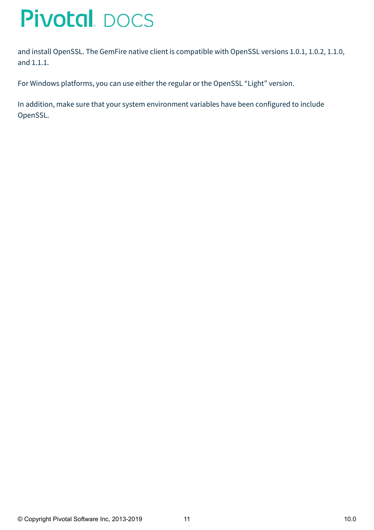and install OpenSSL. The GemFire native client is compatible with OpenSSL versions 1.0.1, 1.0.2, 1.1.0, and 1.1.1.

For Windows platforms, you can use either the regular or the OpenSSL "Light" version.

In addition, make sure that your system environment variables have been configured to include OpenSSL.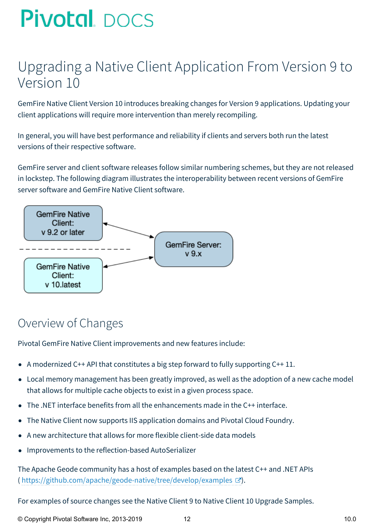# <span id="page-11-0"></span>Upgrading a Native Client Application From Version 9 to Version 10

GemFire Native Client Version 10 introduces breaking changes for Version 9 applications. Updating your client applications will require more intervention than merely recompiling.

In general, you will have best performance and reliability if clients and servers both run the latest versions of their respective software.

GemFire server and client software releases follow similar numbering schemes, but they are not released in lockstep. The following diagram illustrates the interoperability between recent versions of GemFire server software and GemFire Native Client software.



## Overview of Changes

Pivotal GemFire Native Client improvements and new features include:

- A modernized C++ API that constitutes a big step forward to fully supporting  $C_{++}$  11.
- Local memory management has been greatly improved, as well as the adoption of a new cache model that allows for multiple cache objects to exist in a given process space.
- The .NET interface benefits from all the enhancements made in the C++ interface.
- The Native Client now supports IIS application domains and Pivotal Cloud Foundry.  $\bullet$
- A new architecture that allows for more flexible client-side data models
- Improvements to the reflection-based AutoSerializer  $\bullet$

The Apache Geode community has a host of examples based on the latest C++ and .NET APIs ( <https://github.com/apache/geode-native/tree/develop/examples>  $\mathbb{C}$ ).

For examples of source changes see the Native Client 9 to Native Client 10 Upgrade Samples.

© Copyright Pivotal Software Inc, 2013-2019 12 12 10.0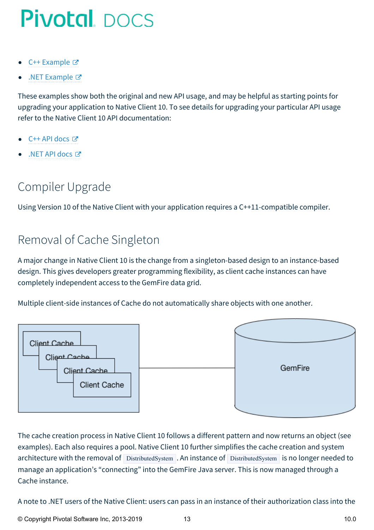- $C++$  [Example](http://docs-gemfire-nativeclient-staging.cfapps.io/100/gemfire-native-client/upgrade-example-cpp.html)  $C^*$
- .NET [Example](http://docs-gemfire-nativeclient-staging.cfapps.io/100/gemfire-native-client/upgrade-example-dotnet.html)

These examples show both the original and new API usage, and may be helpful as starting points for upgrading your application to Native Client 10. To see details for upgrading your particular API usage refer to the Native Client 10 API documentation:

- C++ API [docs](http://docs-gemfire-nativeclient-staging.cfapps.io/100/gemfire-native-client/cppdocs)
- .NET API [docs](http://docs-gemfire-nativeclient-staging.cfapps.io/100/gemfire-native-client/dotnetdocs) C

## Compiler Upgrade

Using Version 10 of the Native Client with your application requires a C++11-compatible compiler.

## Removal of Cache Singleton

A major change in Native Client 10 is the change from a singleton-based design to an instance-based design. This gives developers greater programming flexibility, as client cache instances can have completely independent access to the GemFire data grid.

Multiple client-side instances of Cache do not automatically share objects with one another.



The cache creation process in Native Client 10 follows a different pattern and now returns an object (see examples). Each also requires a pool. Native Client 10 further simplifies the cache creation and system architecture with the removal of DistributedSystem . An instance of DistributedSystem is no longer needed to manage an application's "connecting" into the GemFire Java server. This is now managed through a Cache instance.

A note to .NET users of the Native Client: users can pass in an instance of their authorization class into the

© Copyright Pivotal Software Inc, 2013-2019 13 10.0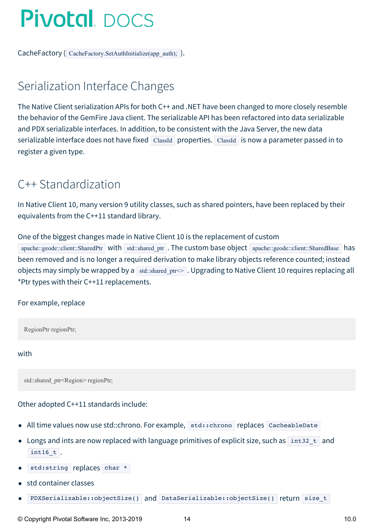CacheFactory ( CacheFactory.SetAuthInitialize(app\_auth); ).

## Serialization Interface Changes

The Native Client serialization APIs for both C++ and .NET have been changed to more closely resemble the behavior of the GemFire Java client. The serializable API has been refactored into data serializable and PDX serializable interfaces. In addition, to be consistent with the Java Server, the new data serializable interface does not have fixed ClassId properties. ClassId is now a parameter passed in to register a given type.

## C++ Standardization

In Native Client 10, many version 9 utility classes, such as shared pointers, have been replaced by their equivalents from the C++11 standard library.

One of the biggest changes made in Native Client 10 is the replacement of custom

apache::geode::client::SharedPtr with std::shared ptr . The custom base object apache::geode::client::SharedBase has been removed and is no longer a required derivation to make library objects reference counted; instead objects may simply be wrapped by a std::shared\_ptr $\sim$  . Upgrading to Native Client 10 requires replacing all \*Ptr types with their C++11 replacements.

### For example, replace

RegionPtr regionPtr;

### with

std::shared\_ptr<Region> regionPtr;

### Other adopted C++11 standards include:

- All time values now use std::chrono. For example, std::chrono replaces CacheableDate
- Longs and ints are now replaced with language primitives of explicit size, such as  $\frac{1}{1}$  int32 t and  $int16_t$   $t$ .
- std:string replaces char \*
- std container classes
- PDXSerializable::objectSize() and DataSerializable::objectSize() return size\_t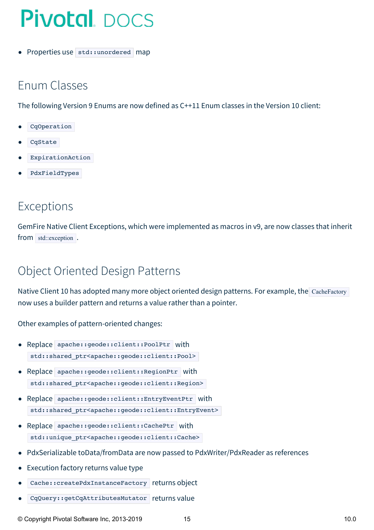<span id="page-14-0"></span>• Properties use std::unordered map

## Enum Classes

The following Version 9 Enums are now defined as C++11 Enum classes in the Version 10 client:

- CqOperation
- CqState
- ExpirationAction
- PdxFieldTypes

## Exceptions

GemFire Native Client Exceptions, which were implemented as macros in v9, are now classes that inherit from std::exception.

# Object Oriented Design Patterns

Native Client 10 has adopted many more object oriented design patterns. For example, the CacheFactory now uses a builder pattern and returns a value rather than a pointer.

Other examples of pattern-oriented changes:

- Replace apache:: geode:: client:: PoolPtr with std::shared ptr<apache::geode::client::Pool>
- Replace apache:: geode:: client:: RegionPtr with std::shared ptr<apache::geode::client::Region>
- Replace apache::geode::client::EntryEventPtr with std::shared\_ptr<apache::geode::client::EntryEvent>
- Replace apache::geode::client::CachePtr with std::unique ptr<apache::geode::client::Cache>
- PdxSerializable toData/fromData are now passed to PdxWriter/PdxReader as references  $\bullet$
- Execution factory returns value type
- Cache::createPdxInstanceFactory returns object
- CqQuery::getCqAttributesMutator returns value
- © Copyright Pivotal Software Inc, 2013-2019 15 10.0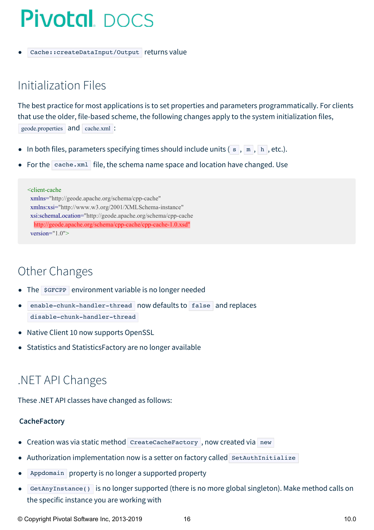### Cache:: createDataInput/Output returns value

## Initialization Files

The best practice for most applications is to set properties and parameters programmatically. For clients that use the older, file-based scheme, the following changes apply to the system initialization files, geode.properties and cache.xml :

- In both files, parameters specifying times should include units  $(s, m, h, etc.).$
- For the cache.xml file, the schema name space and location have changed. Use

<client-cache xmlns="http://geode.apache.org/schema/cpp-cache" xmlns:xsi="http://www.w3.org/2001/XMLSchema-instance" xsi:schemaLocation="http://geode.apache.org/schema/cpp-cache http://geode.apache.org/schema/cpp-cache/cpp-cache-1.0.xsd" version="1.0">

## Other Changes

- The sGFCPP environment variable is no longer needed
- enable-chunk-handler-thread now defaults to false and replaces disable-chunk-handler-thread
- $\bullet$ Native Client 10 now supports OpenSSL
- Statistics and StatisticsFactory are no longer available

## .NET API Changes

These .NET API classes have changed as follows:

### **CacheFactory**

- Creation was via static method CreateCacheFactory, now created via new
- Authorization implementation now is a setter on factory called setAuthInitialize
- Appdomain property is no longer a supported property
- GetAnyInstance() is no longer supported (there is no more global singleton). Make method calls on the specific instance you are working with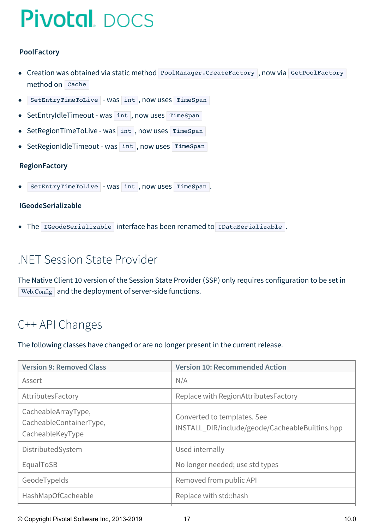### **PoolFactory**

- Creation was obtained via static method PoolManager. CreateFactory, now via GetPoolFactory method on Cache
- SetEntryTimeToLive was int , now uses TimeSpan  $\bullet$
- SetEntryIdleTimeout was int, now uses TimeSpan  $\bullet$
- SetRegionTimeToLive was int, now uses TimeSpan  $\bullet$
- SetRegionIdleTimeout was int, now uses TimeSpan  $\bullet$

### **RegionFactory**

SetEntryTimeToLive - was int, now uses TimeSpan.

### **IGeodeSerializable**

The IGeodeSerializable interface has been renamed to IDataSerializable.

## .NET Session State Provider

The Native Client 10 version of the Session State Provider (SSP) only requires configuration to be set in Web.Config and the deployment of server-side functions.

## C++ API Changes

The following classes have changed or are no longer present in the current release.

| <b>Version 9: Removed Class</b>                                    | <b>Version 10: Recommended Action</b>                                          |
|--------------------------------------------------------------------|--------------------------------------------------------------------------------|
| Assert                                                             | N/A                                                                            |
| AttributesFactory                                                  | Replace with RegionAttributesFactory                                           |
| CacheableArrayType,<br>CacheableContainerType,<br>CacheableKeyType | Converted to templates. See<br>INSTALL_DIR/include/geode/CacheableBuiltins.hpp |
| DistributedSystem                                                  | Used internally                                                                |
| EqualToSB                                                          | No longer needed; use std types                                                |
| GeodeTypeIds                                                       | Removed from public API                                                        |
| HashMapOfCacheable                                                 | Replace with std::hash                                                         |

© Copyright Pivotal Software Inc, 2013-2019 17 10.0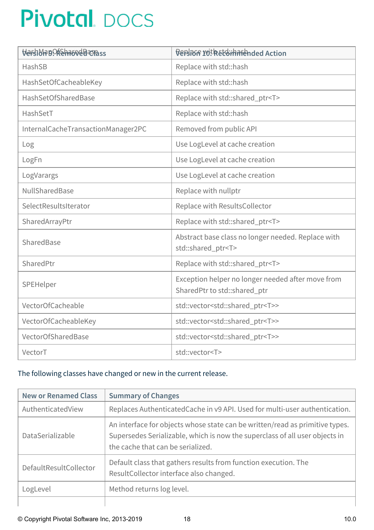| Versibland Prehabed Breass         | <b>REPSIBLE YO! REEGIMALE MODEL Action</b>                                        |
|------------------------------------|-----------------------------------------------------------------------------------|
| HashSB                             | Replace with std::hash                                                            |
| HashSetOfCacheableKey              | Replace with std::hash                                                            |
| HashSetOfSharedBase                | Replace with std::shared_ptr <t></t>                                              |
| HashSetT                           | Replace with std::hash                                                            |
| InternalCacheTransactionManager2PC | Removed from public API                                                           |
| Log                                | Use LogLevel at cache creation                                                    |
| LogFn                              | Use LogLevel at cache creation                                                    |
| LogVarargs                         | Use LogLevel at cache creation                                                    |
| NullSharedBase                     | Replace with nullptr                                                              |
| SelectResultsIterator              | Replace with ResultsCollector                                                     |
| SharedArrayPtr                     | Replace with std::shared_ptr <t></t>                                              |
| SharedBase                         | Abstract base class no longer needed. Replace with<br>std::shared_ptr <t></t>     |
| SharedPtr                          | Replace with std::shared_ptr <t></t>                                              |
| SPEHelper                          | Exception helper no longer needed after move from<br>SharedPtr to std::shared_ptr |
| VectorOfCacheable                  | std::vector <std::shared_ptr<t>&gt;</std::shared_ptr<t>                           |
| VectorOfCacheableKey               | std::vector <std::shared_ptr<t>&gt;</std::shared_ptr<t>                           |
| VectorOfSharedBase                 | std::vector <std::shared_ptr<t>&gt;</std::shared_ptr<t>                           |
| VectorT                            | std::vector <t></t>                                                               |

## The following classes have changed or new in the current release.

| <b>New or Renamed Class</b> | <b>Summary of Changes</b>                                                                                                                                                                        |
|-----------------------------|--------------------------------------------------------------------------------------------------------------------------------------------------------------------------------------------------|
| AuthenticatedView           | Replaces Authenticated Cache in v9 API. Used for multi-user authentication.                                                                                                                      |
| DataSerializable            | An interface for objects whose state can be written/read as primitive types.<br>Supersedes Serializable, which is now the superclass of all user objects in<br>the cache that can be serialized. |
| DefaultResultCollector      | Default class that gathers results from function execution. The<br>ResultCollector interface also changed.                                                                                       |
| LogLevel                    | Method returns log level.                                                                                                                                                                        |
|                             |                                                                                                                                                                                                  |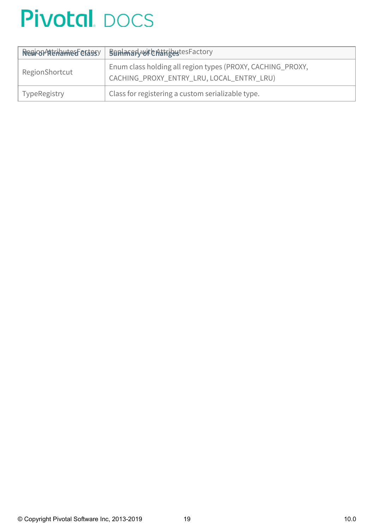| ResiOnAttributesFersesy | <b>Bank Say with Astricutes Factory</b>                                                                 |
|-------------------------|---------------------------------------------------------------------------------------------------------|
| RegionShortcut          | Enum class holding all region types (PROXY, CACHING_PROXY,<br>CACHING_PROXY_ENTRY_LRU, LOCAL_ENTRY_LRU) |
| TypeRegistry            | Class for registering a custom serializable type.                                                       |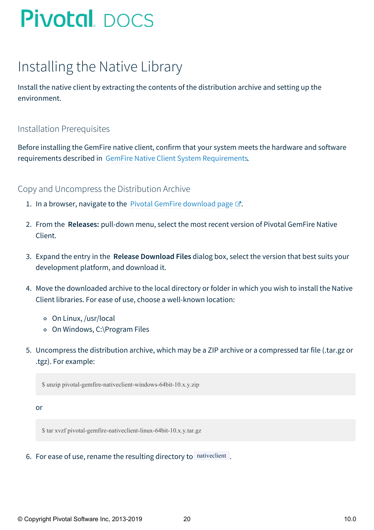# <span id="page-19-0"></span>Installing the Native Library

Install the native client by extracting the contents of the distribution archive and setting up the environment.

### Installation Prerequisites

Before installing the GemFire native client, confirm that your system meets the hardware and software requirements described in GemFire Native Client System [Requirements](#page-8-2).

### Copy and Uncompress the Distribution Archive

- 1. In a browser, navigate to the Pivotal GemFire [download](https://network.pivotal.io/products/pivotal-gemfire) page  $\mathbb{Z}$ .
- 2. From the **Releases:** pull-down menu, select the most recent version of Pivotal GemFire Native Client.
- 3. Expand the entry in the **Release Download Files** dialog box, select the version that best suits your development platform, and download it.
- 4. Move the downloaded archive to the local directory or folder in which you wish to install the Native Client libraries. For ease of use, choose a well-known location:
	- On Linux, /usr/local
	- o On Windows, C:\Program Files
- 5. Uncompress the distribution archive, which may be a ZIP archive or a compressed tar file (.tar.gz or .tgz). For example:

\$ unzip pivotal-gemfire-nativeclient-windows-64bit-10.x.y.zip

or

\$ tar xvzf pivotal-gemfire-nativeclient-linux-64bit-10.x.y.tar.gz

6. For ease of use, rename the resulting directory to nativeclient.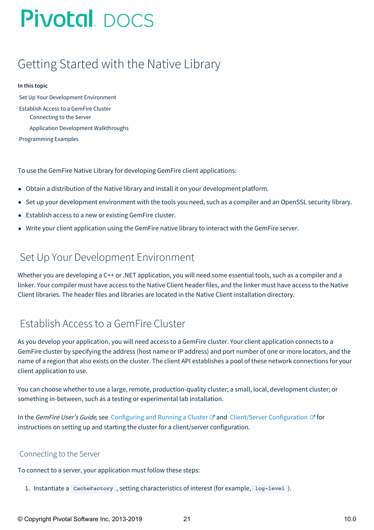# <span id="page-20-0"></span>Getting Started with the Native Library

#### **In this topic**

Set Up Your [Development](#page-20-1) Environment [Establish](#page-20-2) Access to a GemFire Cluster [Connecting](#page-20-3) to the Server Application Development [Walkthroughs](#page-22-0) [Programming](#page-22-1) Examples

To use the GemFire Native Library for developing GemFire client applications:

- Obtain a distribution of the Native library and install it on your development platform.
- Set up your development environment with the tools you need, such as a compiler and an OpenSSL security library.
- Establish access to a new or existing GemFire cluster.
- Write your client application using the GemFire native library to interact with the GemFire server.

## <span id="page-20-1"></span>Set Up Your Development Environment

Whether you are developing a C++ or .NET application, you will need some essential tools, such as a compiler and a linker. Your compiler must have access to the Native Client header files, and the linker must have access to the Native Client libraries. The header files and libraries are located in the Native Client installation directory.

## <span id="page-20-2"></span>Establish Access to a GemFire Cluster

As you develop your application, you will need access to a GemFire cluster. Your client application connects to a GemFire cluster by specifying the address (host name or IP address) and port number of one or more locators, and the name of a region that also exists on the cluster. The client API establishes a pool of these network connections for your client application to use.

You can choose whether to use a large, remote, production-quality cluster; a small, local, development cluster; or something in-between, such as a testing or experimental lab installation.

In the GemFire User's Guide, see [Configuring](http://docs-gemfire-nativeclient-staging.cfapps.io/100/geode-native-client/getting-started/serverman/configuring/chapter_overview.html) and Running a Cluster  $\mathbb{C}^n$  and Client/Server [Configuration](http://docs-gemfire-nativeclient-staging.cfapps.io/100/geode-native-client/getting-started/serverman/topologies_and_comm/cs_configuration/chapter_overview.html)  $\mathbb{C}^n$  for instructions on setting up and starting the cluster for a client/server configuration.

### <span id="page-20-3"></span>Connecting to the Server

To connect to a server, your application must follow these steps:

1. Instantiate a CacheFactory , setting characteristics of interest (for example, log-level ).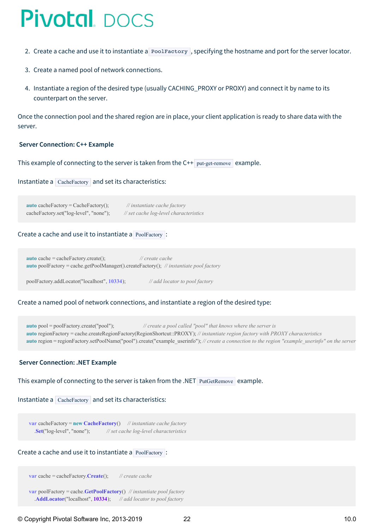- 2. Create a cache and use it to instantiate a PoolFactory, specifying the hostname and port for the server locator.
- 3. Create a named pool of network connections.
- 4. Instantiate a region of the desired type (usually CACHING\_PROXY or PROXY) and connect it by name to its counterpart on the server.

Once the connection pool and the shared region are in place, your client application is ready to share data with the server.

### **Server Connection: C++ Example**

This example of connecting to the server is taken from the  $C++$  put-get-remove example.

Instantiate a CacheFactory and set its characteristics:

**auto** cacheFactory = CacheFactory(); *// instantiate cache factory* cacheFactory.set("log-level", "none"); *// set cache log-level characteristics*

#### Create a cache and use it to instantiate a PoolFactory :

**auto** cache = cacheFactory.create(); *// create cache* **auto** poolFactory = cache.getPoolManager().createFactory(); *// instantiate pool factory*

poolFactory.addLocator("localhost", **10334**); *// add locator to pool factory*

#### Create a named pool of network connections, and instantiate a region of the desired type:

**auto** pool = poolFactory.create("pool"); *// create a pool called "pool" that knows where the server is* **auto** regionFactory = cache.createRegionFactory(RegionShortcut::PROXY); *// instantiate region factory with PROXY characteristics* auto region = regionFactory.setPoolName("pool").create("example userinfo"); // create a connection to the region "example userinfo" on the server

### **Server Connection: .NET Example**

This example of connecting to the server is taken from the .NET PutGetRemove example.

Instantiate a CacheFactory and set its characteristics:

**var** cacheFactory = **new CacheFactory**() *// instantiate cache factory* .**Set**("log-level", "none"); *// set cache log-level characteristics*

#### Create a cache and use it to instantiate a PoolFactory :

**var** cache = cacheFactory.**Create**(); *// create cache*

**var** poolFactory = cache.**GetPoolFactory**() *// instantiate pool factory* .**AddLocator**("localhost", **10334**); *// add locator to pool factory*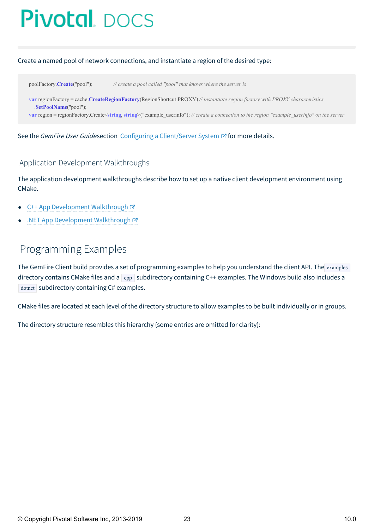#### Create a named pool of network connections, and instantiate a region of the desired type:

poolFactory.**Create**("pool"); *// create a pool called "pool" that knows where the server is*

**var** regionFactory = cache.**CreateRegionFactory**(RegionShortcut.PROXY) *// instantiate region factory with PROXY characteristics* .**SetPoolName**("pool");

var region = regionFactory.Create<string, string>("example userinfo"); // create a connection to the region "example userinfo" on the server

See the GemFire User Guidesection Configuring a [Client/Server](http://docs-gemfire-nativeclient-staging.cfapps.io/100/geode-native-client/getting-started/serverman/topologies_and_comm/cs_configuration/setting_up_a_client_server_system.html) System  $\mathbb{Z}$  for more details.

### <span id="page-22-0"></span>Application Development Walkthroughs

The application development walkthroughs describe how to set up a native client development environment using CMake.

- C++ App [Development](http://docs-gemfire-nativeclient-staging.cfapps.io/100/geode-native-client/getting-started/app-dev-walkthrough-cpp.html) Walkthrough
- .NET App [Development](http://docs-gemfire-nativeclient-staging.cfapps.io/100/geode-native-client/getting-started/app-dev-walkthrough-dotnet.html) Walkthrough  $C^*$

## <span id="page-22-1"></span>Programming Examples

The GemFire Client build provides a set of programming examples to help you understand the client API. The examples directory contains CMake files and a cpp subdirectory containing C++ examples. The Windows build also includes a dotnet subdirectory containing C# examples.

CMake files are located at each level of the directory structure to allow examples to be built individually or in groups.

The directory structure resembles this hierarchy (some entries are omitted for clarity):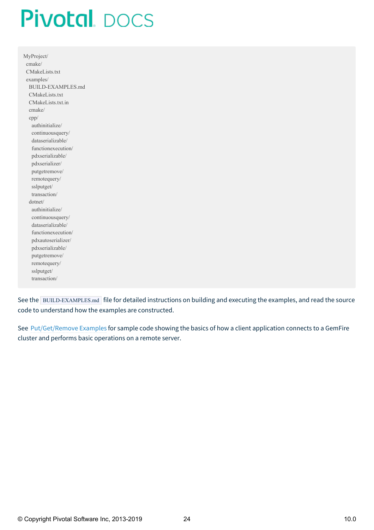| MyProject/         |  |  |
|--------------------|--|--|
| cmake/             |  |  |
| CMakeLists.txt     |  |  |
| examples/          |  |  |
| BUILD-EXAMPLES.md  |  |  |
| CMakeLists.txt     |  |  |
| CMakeLists.txt.in  |  |  |
| cmake/             |  |  |
| cpp/               |  |  |
| authinitialize/    |  |  |
| continuousquery/   |  |  |
| dataserializable/  |  |  |
| functionexecution/ |  |  |
| pdxserializable/   |  |  |
| pdxserializer/     |  |  |
| putgetremove/      |  |  |
| remotequery/       |  |  |
| sslputget/         |  |  |
| transaction/       |  |  |
| dotnet/            |  |  |
| authinitialize/    |  |  |
| continuousquery/   |  |  |
| dataserializable/  |  |  |
| functionexecution/ |  |  |
| pdxautoserializer/ |  |  |
| pdxserializable/   |  |  |
| putgetremove/      |  |  |
| remotequery/       |  |  |
| sslputget/         |  |  |
| transaction/       |  |  |
|                    |  |  |

See the BUILD-EXAMPLES.md file for detailed instructions on building and executing the examples, and read the source code to understand how the examples are constructed.

See [Put/Get/Remove](#page-25-0) Examples for sample code showing the basics of how a client application connects to a GemFire cluster and performs basic operations on a remote server.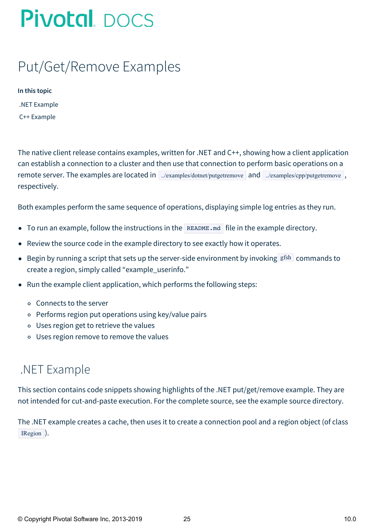# <span id="page-24-0"></span>Put/Get/Remove Examples

**In this topic**

.NET [Example](#page-24-1)

C++ [Example](#page-25-1)

The native client release contains examples, written for .NET and C++, showing how a client application can establish a connection to a cluster and then use that connection to perform basic operations on a remote server. The examples are located in .../examples/dotnet/putgetremove and .../examples/cpp/putgetremove, respectively.

Both examples perform the same sequence of operations, displaying simple log entries as they run.

- To run an example, follow the instructions in the  $\kappa$  README. and file in the example directory.
- Review the source code in the example directory to see exactly how it operates.
- $\bullet$  Begin by running a script that sets up the server-side environment by invoking gfsh commands to create a region, simply called "example\_userinfo."
- Run the example client application, which performs the following steps:  $\bullet$ 
	- Connects to the server
	- Performs region put operations using key/value pairs
	- Uses region get to retrieve the values
	- Uses region remove to remove the values

## <span id="page-24-1"></span>.NET Example

This section contains code snippets showing highlights of the .NET put/get/remove example. They are not intended for cut-and-paste execution. For the complete source, see the example source directory.

The .NET example creates a cache, then uses it to create a connection pool and a region object (of class IRegion ).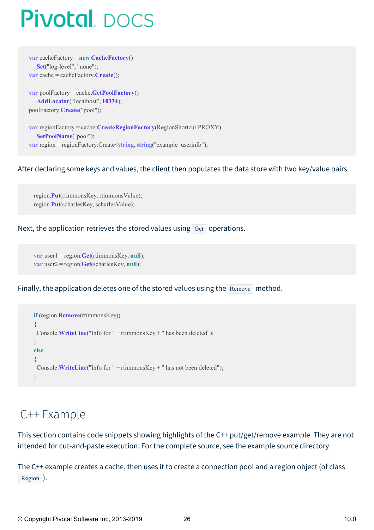<span id="page-25-0"></span>**var** cacheFactory = **new CacheFactory**() .**Set**("log-level", "none"); **var** cache = cacheFactory.**Create**();

**var** poolFactory = cache.**GetPoolFactory**() .**AddLocator**("localhost", **10334**); poolFactory.**Create**("pool");

**var** regionFactory = cache.**CreateRegionFactory**(RegionShortcut.PROXY) .**SetPoolName**("pool"); **var** region = regionFactory.Create < **string**, **string**("example\_userinfo");

After declaring some keys and values, the client then populates the data store with two key/value pairs.

region.**Put**(rtimmonsKey, rtimmonsValue); region.**Put**(scharlesKey, scharlesValue);

Next, the application retrieves the stored values using  $G_{et}$  operations.

**var** user1 = region.**Get**(rtimmonsKey, **null**); **var** user2 = region.**Get**(scharlesKey, **null**);

Finally, the application deletes one of the stored values using the Remove method.

```
if (region.Remove(rtimmonsKey))
{
Console.WriteLine("Info for " + rtimmonsKey + " has been deleted");
}
else
{
Console.WriteLine("Info for " + rtimmonsKey + " has not been deleted");
}
```
# <span id="page-25-1"></span>C++ Example

This section contains code snippets showing highlights of the C++ put/get/remove example. They are not intended for cut-and-paste execution. For the complete source, see the example source directory.

The C++ example creates a cache, then uses it to create a connection pool and a region object (of class Region ).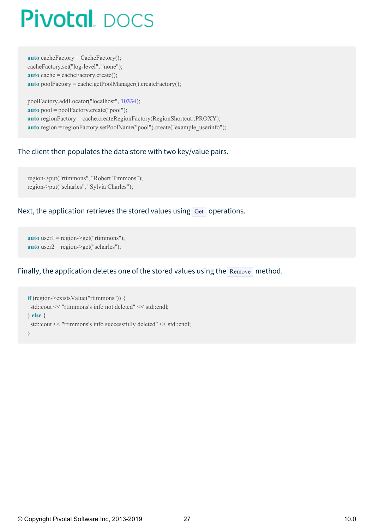**auto** cacheFactory = CacheFactory(); cacheFactory.set("log-level", "none"); **auto** cache = cacheFactory.create(); **auto** poolFactory = cache.getPoolManager().createFactory();

poolFactory.addLocator("localhost", **10334**); **auto** pool = poolFactory.create("pool"); **auto** regionFactory = cache.createRegionFactory(RegionShortcut::PROXY); auto region = regionFactory.setPoolName("pool").create("example\_userinfo");

### The client then populates the data store with two key/value pairs.

region->put("rtimmons", "Robert Timmons"); region->put("scharles", "Sylvia Charles");

### Next, the application retrieves the stored values using  $G_{\text{et}}$  operations.

**auto** user  $1 =$  region->get("rtimmons"); **auto** user2 = region->get("scharles");

### Finally, the application deletes one of the stored values using the Remove method.

**if** (region->existsValue("rtimmons")) { std::cout << "rtimmons's info not deleted" << std::endl; } **else** { std::cout << "rtimmons's info successfully deleted" << std::endl; }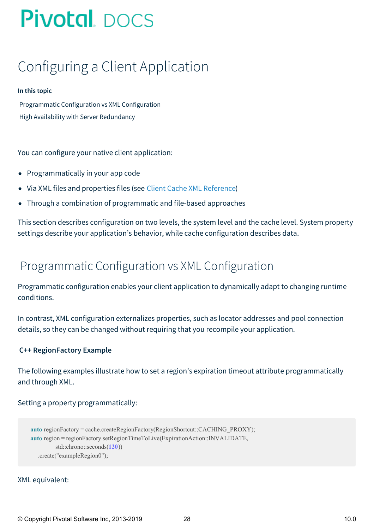# <span id="page-27-0"></span>Configuring a Client Application

### **In this topic**

[Programmatic](#page-27-1) Configuration vs XML Configuration High Availability with Server [Redundancy](#page-28-0)

You can configure your native client application:

- Programmatically in your app code
- Via XML files and properties files (see Client Cache XML [Reference](#page-94-0))
- Through a combination of programmatic and file-based approaches  $\bullet$

This section describes configuration on two levels, the system level and the cache level. System property settings describe your application's behavior, while cache configuration describes data.

## <span id="page-27-1"></span>Programmatic Configuration vs XML Configuration

Programmatic configuration enables your client application to dynamically adapt to changing runtime conditions.

In contrast, XML configuration externalizes properties, such as locator addresses and pool connection details, so they can be changed without requiring that you recompile your application.

### **C++ RegionFactory Example**

The following examples illustrate how to set a region's expiration timeout attribute programmatically and through XML.

### Setting a property programmatically:

```
auto regionFactory = cache.createRegionFactory(RegionShortcut::CACHING_PROXY);
auto region = regionFactory.setRegionTimeToLive(ExpirationAction::INVALIDATE,
        std::chrono::seconds(120))
  .create("exampleRegion0");
```
### XML equivalent: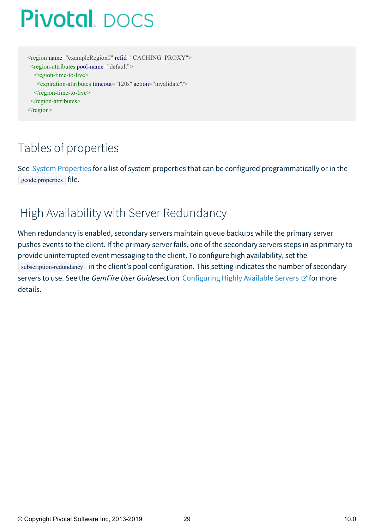<region name="exampleRegion0" refid="CACHING\_PROXY"> <region-attributes pool-name="default"> <region-time-to-live> <expiration-attributes timeout="120s" action="invalidate"/> </region-time-to-live> </region-attributes>

 $\le$ /region>

# Tables of properties

See System [Properties](#page-85-0) for a list of system properties that can be configured programmatically or in the geode.properties file.

## <span id="page-28-0"></span>High Availability with Server Redundancy

When redundancy is enabled, secondary servers maintain queue backups while the primary server pushes events to the client. If the primary server fails, one of the secondary servers steps in as primary to provide uninterrupted event messaging to the client. To configure high availability, set the subscription-redundancy in the client's pool configuration. This setting indicates the number of secondary servers to use. See the *GemFire User Guide* section [Configuring](http://docs-gemfire-nativeclient-staging.cfapps.io/100/geode-native-client/configuring/serverman/developing/events/configuring_highly_available_servers.html) Highly Available Servers  $\mathbb{Z}$  for more details.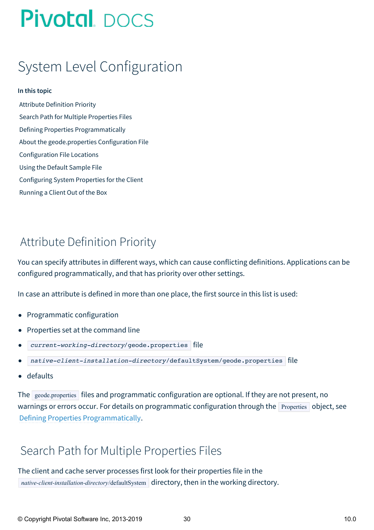# <span id="page-29-0"></span>System Level Configuration

### **In this topic**

Attribute [Definition](#page-29-1) Priority Search Path for Multiple [Properties](#page-29-2) Files Defining Properties [Programmatically](#page-30-0) About the [geode.properties](#page-30-1) Configuration File [Configuration](#page-30-2) File Locations Using the Default [Sample](#page-30-3) File [Configuring](#page-31-0) System Properties for the Client [Running](#page-32-0) a Client Out of the Box

## <span id="page-29-1"></span>Attribute Definition Priority

You can specify attributes in different ways, which can cause conflicting definitions. Applications can be configured programmatically, and that has priority over other settings.

In case an attribute is defined in more than one place, the first source in this list is used:

- Programmatic configuration
- Properties set at the command line  $\bullet$
- current-working-directory/geode.properties file
- native-client-installation-directory/defaultSystem/geode.properties file
- defaults

The geode.properties files and programmatic configuration are optional. If they are not present, no warnings or errors occur. For details on programmatic configuration through the **Properties** object, see Defining Properties [Programmatically](#page-30-0).

## <span id="page-29-2"></span>Search Path for Multiple Properties Files

The client and cache server processes first look for their properties file in the *native-client-installation-directory*/defaultSystem directory, then in the working directory.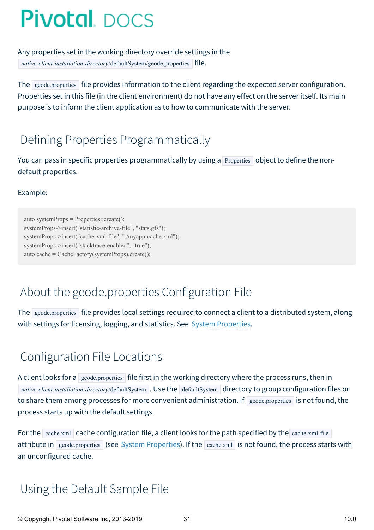Any properties set in the working directory override settings in the *native-client-installation-directory/defaultSystem/geode.properties* file.

The geode.properties file provides information to the client regarding the expected server configuration. Properties set in this file (in the client environment) do not have any effect on the server itself. Its main purpose is to inform the client application as to how to communicate with the server.

# <span id="page-30-0"></span>Defining Properties Programmatically

You can pass in specific properties programmatically by using a Properties object to define the nondefault properties.

Example:

auto systemProps = Properties::create(); systemProps->insert("statistic-archive-file", "stats.gfs"); systemProps->insert("cache-xml-file", "./myapp-cache.xml"); systemProps->insert("stacktrace-enabled", "true"); auto cache = CacheFactory(systemProps).create();

# <span id="page-30-1"></span>About the geode.properties Configuration File

The geode.properties file provides local settings required to connect a client to a distributed system, along with settings for licensing, logging, and statistics. See System [Properties](#page-85-0).

## <span id="page-30-2"></span>Configuration File Locations

A client looks for a geode.properties file first in the working directory where the process runs, then in *native-client-installation-directory/defaultSystem* . Use the defaultSystem directory to group configuration files or to share them among processes for more convenient administration. If  $\frac{1}{2}$  geode.properties is not found, the process starts up with the default settings.

For the cache.xml cache configuration file, a client looks for the path specified by the cache-xml-file attribute in geode.properties (see System Properties). If the cache.xml is not found, the process starts with an unconfigured cache.

## <span id="page-30-3"></span>Using the Default Sample File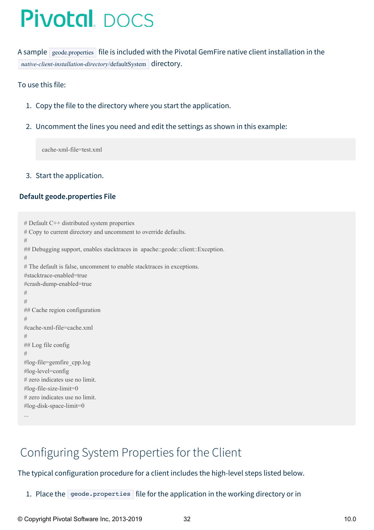A sample geode.properties file is included with the Pivotal GemFire native client installation in the *native-client-installation-directory*/defaultSystem directory.

### To use this file:

- 1. Copy the file to the directory where you start the application.
- 2. Uncomment the lines you need and edit the settings as shown in this example:

cache-xml-file=test.xml

### 3. Start the application.

### **Default geode.properties File**

```
# Default C++ distributed system properties
# Copy to current directory and uncomment to override defaults.
#
## Debugging support, enables stacktraces in apache::geode::client::Exception.
#
# The default is false, uncomment to enable stacktraces in exceptions.
#stacktrace-enabled=true
#crash-dump-enabled=true
#
#
## Cache region configuration
#
#cache-xml-file=cache.xml
#
## Log file config
#
#log-file=gemfire_cpp.log
#log-level=config
# zero indicates use no limit.
#log-file-size-limit=0
# zero indicates use no limit.
#log-disk-space-limit=0
```
...

# <span id="page-31-0"></span>Configuring System Properties for the Client

### The typical configuration procedure for a client includes the high-level steps listed below.

1. Place the geode.properties file for the application in the working directory or in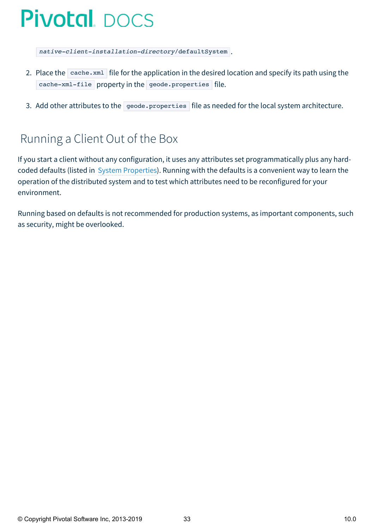native-client-installation-directory/defaultSystem .

- 2. Place the  $\sqrt{\text{cache.xml}}$  file for the application in the desired location and specify its path using the cache-xml-file property in the geode.properties file.
- 3. Add other attributes to the geode.properties file as needed for the local system architecture.

## <span id="page-32-0"></span>Running a Client Out of the Box

If you start a client without any configuration, it uses any attributes set programmatically plus any hardcoded defaults (listed in System Properties). Running with the defaults is a convenient way to learn the operation of the distributed system and to test which attributes need to be reconfigured for your environment.

Running based on defaults is not recommended for production systems, as important components, such as security, might be overlooked.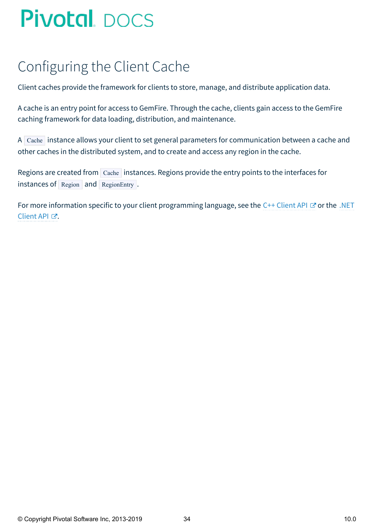# <span id="page-33-0"></span>Configuring the Client Cache

Client caches provide the framework for clients to store, manage, and distribute application data.

A cache is an entry point for access to GemFire. Through the cache, clients gain access to the GemFire caching framework for data loading, distribution, and maintenance.

A Cache instance allows your client to set general parameters for communication between a cache and other caches in the distributed system, and to create and access any region in the cache.

Regions are created from Cache instances. Regions provide the entry points to the interfaces for instances of Region and RegionEntry .

For more information specific to your client [programming](http://docs-gemfire-nativeclient-staging.cfapps.io/100/geode-native-client/configuring/dotnetdocs) language, see the  $C++$  [Client](http://docs-gemfire-nativeclient-staging.cfapps.io/100/geode-native-client/configuring/cppdocs) API  $\mathbb{Z}$  or the .NET Client API で.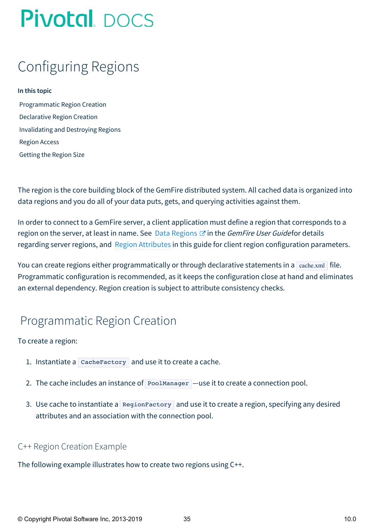# <span id="page-34-0"></span>Configuring Regions

### **In this topic**

[Programmatic](#page-34-1) Region Creation [Declarative](#page-35-0) Region Creation [Invalidating](#page-36-0) and Destroying Regions [Region](#page-37-0) Access [Getting](#page-37-1) the Region Size

The region is the core building block of the GemFire distributed system. All cached data is organized into data regions and you do all of your data puts, gets, and querying activities against them.

In order to connect to a GemFire server, a client application must define a region that corresponds to a region on the server, at least in name. See Data [Regions](http://docs-gemfire-nativeclient-staging.cfapps.io/100/geode-native-client/regions/geodeman/basic_config/data_regions/chapter_overview.html)  $G$  in the *GemFire User Guidefor details* regarding server regions, and Region [Attributes](#page-42-1) in this guide for client region configuration parameters.

You can create regions either programmatically or through declarative statements in a cache.xml file. Programmatic configuration is recommended, as it keeps the configuration close at hand and eliminates an external dependency. Region creation is subject to attribute consistency checks.

## <span id="page-34-1"></span>Programmatic Region Creation

### To create a region:

- 1. Instantiate a  $\vert$  CacheFactory  $\vert$  and use it to create a cache.
- 2. The cache includes an instance of PoolManager —use it to create a connection pool.
- 3. Use cache to instantiate a RegionFactory and use it to create a region, specifying any desired attributes and an association with the connection pool.

### C++ Region Creation Example

The following example illustrates how to create two regions using C++.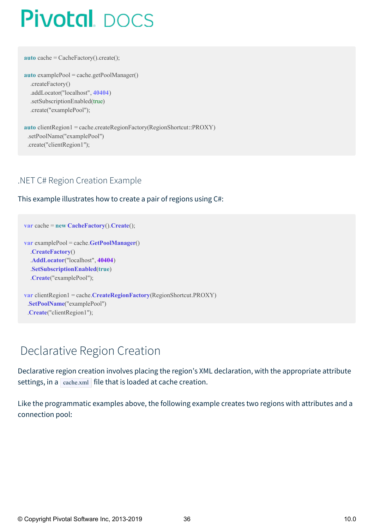**auto** cache = CacheFactory().create();

```
auto examplePool = cache.getPoolManager()
  .createFactory()
  .addLocator("localhost", 40404)
  .setSubscriptionEnabled(true)
  .create("examplePool");
```

```
auto clientRegion1 = cache.createRegionFactory(RegionShortcut::PROXY)
 .setPoolName("examplePool")
 .create("clientRegion1");
```
## .NET C# Region Creation Example

### This example illustrates how to create a pair of regions using C#:

```
var cache = new CacheFactory().Create();
var examplePool = cache.GetPoolManager()
  .CreateFactory()
  .AddLocator("localhost", 40404)
  .SetSubscriptionEnabled(true)
  .Create("examplePool");
var clientRegion1 = cache.CreateRegionFactory(RegionShortcut.PROXY)
 .SetPoolName("examplePool")
 .Create("clientRegion1");
```
# <span id="page-35-0"></span>Declarative Region Creation

Declarative region creation involves placing the region's XML declaration, with the appropriate attribute settings, in a cache.xml file that is loaded at cache creation.

Like the programmatic examples above, the following example creates two regions with attributes and a connection pool: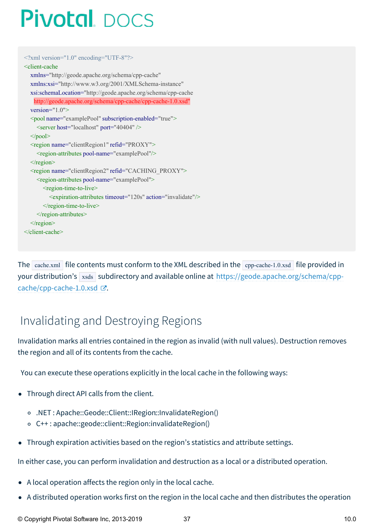```
<?xml version="1.0" encoding="UTF-8"?>
<client-cache
  xmlns="http://geode.apache.org/schema/cpp-cache"
  xmlns:xsi="http://www.w3.org/2001/XMLSchema-instance"
  xsi:schemaLocation="http://geode.apache.org/schema/cpp-cache
   http://geode.apache.org/schema/cpp-cache/cpp-cache-1.0.xsd"
  version="1.0">
  <pool name="examplePool" subscription-enabled="true">
    <server host="localhost" port="40404" />
  \langle/pool><region name="clientRegion1" refid="PROXY">
    <region-attributes pool-name="examplePool"/>
  \langleregion\rangle<region name="clientRegion2" refid="CACHING_PROXY">
    <region-attributes pool-name="examplePool">
       <region-time-to-live>
         \leqexpiration-attributes timeout="120s" action="invalidate"/>
       \le/region-time-to-live>
    </region-attributes>
  \langleregion\rangle</client-cache>
```
The cache.xml file contents must conform to the XML described in the cpp-cache-1.0.xsd file provided in your distribution's  $x_{\text{sds}}$  subdirectory and available online at [https://geode.apache.org/schema/cpp](https://geode.apache.org/schema/cpp-cache/cpp-cache-1.0.xsd)cache/cpp-cache-1.0.xsd  $\mathbb{Z}$ .

## Invalidating and Destroying Regions

Invalidation marks all entries contained in the region as invalid (with null values). Destruction removes the region and all of its contents from the cache.

You can execute these operations explicitly in the local cache in the following ways:

- Through direct API calls from the client.
	- .NET : Apache::Geode::Client::IRegion::InvalidateRegion()
	- C++ : apache::geode::client::Region:invalidateRegion()
- Through expiration activities based on the region's statistics and attribute settings.

In either case, you can perform invalidation and destruction as a local or a distributed operation.

- A local operation affects the region only in the local cache.
- A distributed operation works first on the region in the local cache and then distributes the operation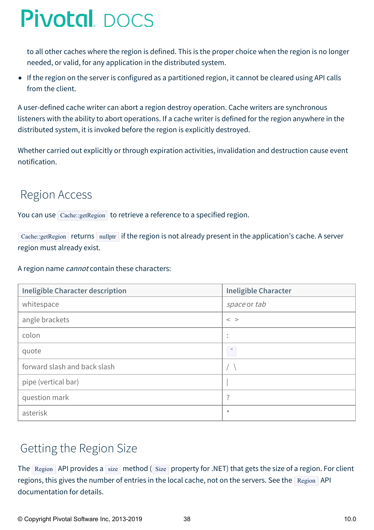to all other caches where the region is defined. This is the proper choice when the region is no longer needed, or valid, for any application in the distributed system.

• If the region on the server is configured as a partitioned region, it cannot be cleared using API calls from the client.

A user-defined cache writer can abort a region destroy operation. Cache writers are synchronous listeners with the ability to abort operations. If a cache writer is defined for the region anywhere in the distributed system, it is invoked before the region is explicitly destroyed.

Whether carried out explicitly or through expiration activities, invalidation and destruction cause event notification.

## Region Access

You can use Cache::getRegion to retrieve a reference to a specified region.

Cache::getRegion returns nullptr if the region is not already present in the application's cache. A server region must already exist.

### A region name *cannot* contain these characters:

| <b>Ineligible Character description</b> | <b>Ineligible Character</b> |
|-----------------------------------------|-----------------------------|
| whitespace                              | space or tab                |
| angle brackets                          | $\langle$ >                 |
| colon                                   | ٠<br>٠                      |
| quote                                   | $\mathbb{H}$                |
| forward slash and back slash            |                             |
| pipe (vertical bar)                     |                             |
| question mark                           | $\ddot{\cdot}$              |
| asterisk                                | $\star$                     |

## Getting the Region Size

The Region API provides a size method ( Size property for .NET) that gets the size of a region. For client regions, this gives the number of entries in the local cache, not on the servers. See the  $\frac{1}{\text{Region}}$  API documentation for details.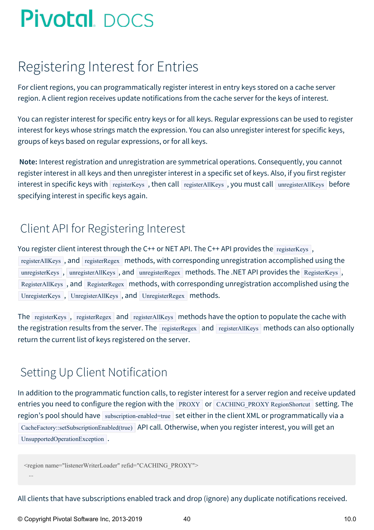## Registering Interest for Entries

For client regions, you can programmatically register interest in entry keys stored on a cache server region. A client region receives update notifications from the cache server for the keys of interest.

You can register interest for specific entry keys or for all keys. Regular expressions can be used to register interest for keys whose strings match the expression. You can also unregister interest for specific keys, groups of keys based on regular expressions, or for all keys.

**Note:** Interest registration and unregistration are symmetrical operations. Consequently, you cannot register interest in all keys and then unregister interest in a specific set of keys. Also, if you first register interest in specific keys with registerKeys, then call registerAllKeys, you must call unregisterAllKeys before specifying interest in specific keys again.

## Client API for Registering Interest

You register client interest through the C++ or NET API. The C++ API provides the registerKeys, registerAllKeys, and registerRegex methods, with corresponding unregistration accomplished using the unregisterKeys, unregisterAllKeys, and unregisterRegex methods. The .NET API provides the RegisterKeys, RegisterAllKeys, and RegisterRegex methods, with corresponding unregistration accomplished using the UnregisterKeys, UnregisterAllKeys, and UnregisterRegex methods.

The registerKeys, registerRegex and registerAllKeys methods have the option to populate the cache with the registration results from the server. The registerRegex and registerAllKeys methods can also optionally return the current list of keys registered on the server.

## Setting Up Client Notification

In addition to the programmatic function calls, to register interest for a server region and receive updated entries you need to configure the region with the PROXY or CACHING PROXY RegionShortcut setting. The region's pool should have subscription-enabled=true set either in the client XML or programmatically via a CacheFactory::setSubscriptionEnabled(true) API call. Otherwise, when you register interest, you will get an UnsupportedOperationException.

```
<region name="listenerWriterLoader" refid="CACHING_PROXY">
 ...
```
All clients that have subscriptions enabled track and drop (ignore) any duplicate notifications received.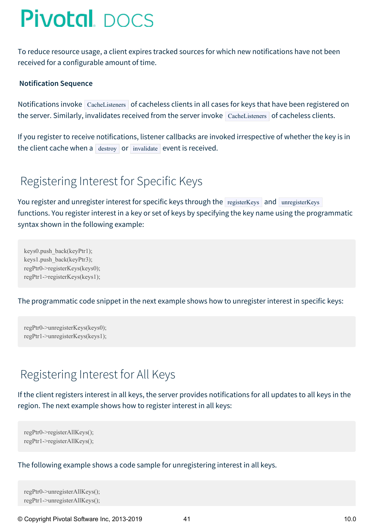<span id="page-40-0"></span>To reduce resource usage, a client expires tracked sources for which new notifications have not been received for a configurable amount of time.

### **Notification Sequence**

Notifications invoke CacheListeners of cacheless clients in all cases for keys that have been registered on the server. Similarly, invalidates received from the server invoke  $\vert$  CacheListeners of cacheless clients.

If you register to receive notifications, listener callbacks are invoked irrespective of whether the key is in the client cache when a  $\vert$  destroy or invalidate event is received.

## Registering Interest for Specific Keys

You register and unregister interest for specific keys through the registerKeys and unregisterKeys functions. You register interest in a key or set of keys by specifying the key name using the programmatic syntax shown in the following example:

keys0.push\_back(keyPtr1); keys1.push\_back(keyPtr3); regPtr0->registerKeys(keys0); regPtr1->registerKeys(keys1);

The programmatic code snippet in the next example shows how to unregister interest in specific keys:

regPtr0->unregisterKeys(keys0); regPtr1->unregisterKeys(keys1);

## Registering Interest for All Keys

If the client registers interest in all keys, the server provides notifications for all updates to all keys in the region. The next example shows how to register interest in all keys:

regPtr0->registerAllKeys(); regPtr1->registerAllKeys();

The following example shows a code sample for unregistering interest in all keys.

regPtr0->unregisterAllKeys(); regPtr1->unregisterAllKeys();

© Copyright Pivotal Software Inc, 2013-2019 41 10.0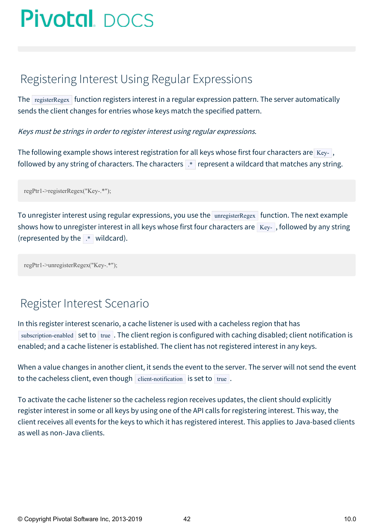## Registering Interest Using Regular Expressions

The registerRegex function registers interest in a regular expression pattern. The server automatically sends the client changes for entries whose keys match the specified pattern.

Keys must be strings in order to register interest using regular expressions.

The following example shows interest registration for all keys whose first four characters are  $Key.$ , followed by any string of characters. The characters  $\mathbb{R}$  represent a wildcard that matches any string.

regPtr1->registerRegex("Key-.\*");

To unregister interest using regular expressions, you use the unregisterRegex function. The next example shows how to unregister interest in all keys whose first four characters are  $Key-$ , followed by any string (represented by the .\* wildcard).

regPtr1->unregisterRegex("Key-.\*");

## Register Interest Scenario

In this register interest scenario, a cache listener is used with a cacheless region that has subscription-enabled set to true. The client region is configured with caching disabled; client notification is enabled; and a cache listener is established. The client has not registered interest in any keys.

When a value changes in another client, it sends the event to the server. The server will not send the event to the cacheless client, even though client-notification is set to true.

To activate the cache listener so the cacheless region receives updates, the client should explicitly register interest in some or all keys by using one of the API calls for registering interest. This way, the client receives all events for the keys to which it has registered interest. This applies to Java-based clients as well as non-Java clients.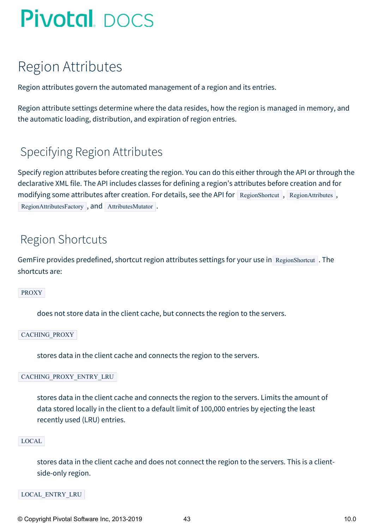## Region Attributes

Region attributes govern the automated management of a region and its entries.

Region attribute settings determine where the data resides, how the region is managed in memory, and the automatic loading, distribution, and expiration of region entries.

## Specifying Region Attributes

Specify region attributes before creating the region. You can do this either through the API or through the declarative XML file. The API includes classes for defining a region's attributes before creation and for modifying some attributes after creation. For details, see the API for RegionShortcut, RegionAttributes, RegionAttributesFactory , and AttributesMutator .

## Region Shortcuts

GemFire provides predefined, shortcut region attributes settings for your use in RegionShortcut . The shortcuts are:

### PROXY

does not store data in the client cache, but connects the region to the servers.

CACHING\_PROXY

stores data in the client cache and connects the region to the servers.

CACHING\_PROXY\_ENTRY\_LRU

stores data in the client cache and connects the region to the servers. Limits the amount of data stored locally in the client to a default limit of 100,000 entries by ejecting the least recently used (LRU) entries.

### LOCAL

stores data in the client cache and does not connect the region to the servers. This is a clientside-only region.

#### LOCAL\_ENTRY\_LRU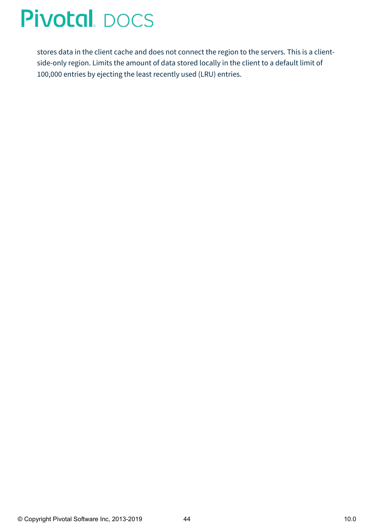stores data in the client cache and does not connect the region to the servers. This is a clientside-only region. Limits the amount of data stored locally in the client to a default limit of 100,000 entries by ejecting the least recently used (LRU) entries.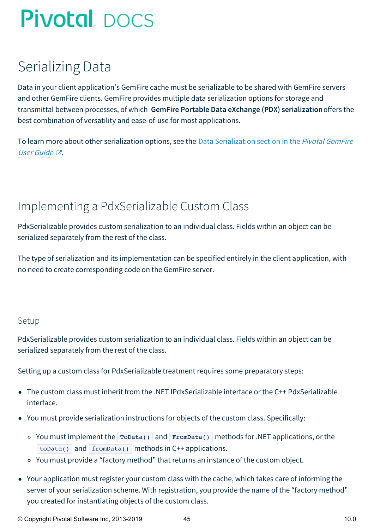## Serializing Data

Data in your client application's GemFire cache must be serializable to be shared with GemFire servers and other GemFire clients. GemFire provides multiple data serialization options for storage and transmittal between processes, of which **GemFire Portable Data eXchange (PDX) serialization**offers the best combination of versatility and ease-of-use for most applications.

To learn more about other serialization options, see the Data [Serialization](http://docs-gemfire-nativeclient-staging.cfapps.io/100/geode-native-client/serialization/serverman/developing/data_serialization/chapter_overview.html) section in the *Pivotal GemFire* User Guide &.

## Implementing a PdxSerializable Custom Class

PdxSerializable provides custom serialization to an individual class. Fields within an object can be serialized separately from the rest of the class.

The type of serialization and its implementation can be specified entirely in the client application, with no need to create corresponding code on the GemFire server.

### Setup

PdxSerializable provides custom serialization to an individual class. Fields within an object can be serialized separately from the rest of the class.

Setting up a custom class for PdxSerializable treatment requires some preparatory steps:

- The custom class must inherit from the .NET IPdxSerializable interface or the C++ PdxSerializable interface.
- You must provide serialization instructions for objects of the custom class. Specifically:
	- You must implement the ToData() and FromData() methods for .NET applications, or the  $\text{total}$  and  $\text{fromData}$  () methods in C++ applications.
	- You must provide a "factory method" that returns an instance of the custom object.
- Your application must register your custom class with the cache, which takes care of informing the server of your serialization scheme. With registration, you provide the name of the "factory method" you created for instantiating objects of the custom class.

© Copyright Pivotal Software Inc, 2013-2019 45 10.0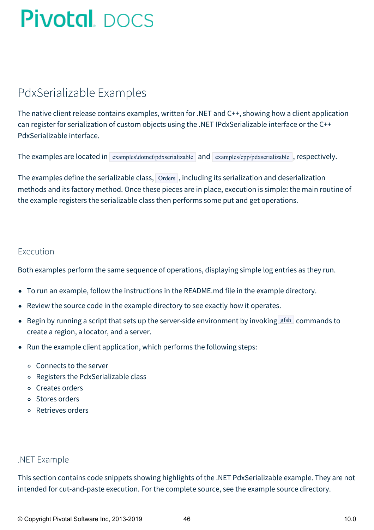## PdxSerializable Examples

The native client release contains examples, written for .NET and C++, showing how a client application can register for serialization of custom objects using the .NET IPdxSerializable interface or the C++ PdxSerializable interface.

The examples are located in examples\dotnet\pdxserializable and examples/cpp/pdxserializable, respectively.

The examples define the serializable class,  $\vert$  Orders , including its serialization and deserialization methods and its factory method. Once these pieces are in place, execution is simple: the main routine of the example registers the serializable class then performs some put and get operations.

### Execution

Both examples perform the same sequence of operations, displaying simple log entries as they run.

- To run an example, follow the instructions in the README.md file in the example directory.
- Review the source code in the example directory to see exactly how it operates.
- **Begin by running a script that sets up the server-side environment by invoking gfsh** commands to create a region, a locator, and a server.
- Run the example client application, which performs the following steps:
	- Connects to the server
	- Registers the PdxSerializable class
	- Creates orders
	- Stores orders
	- Retrieves orders

### .NET Example

This section contains code snippets showing highlights of the .NET PdxSerializable example. They are not intended for cut-and-paste execution. For the complete source, see the example source directory.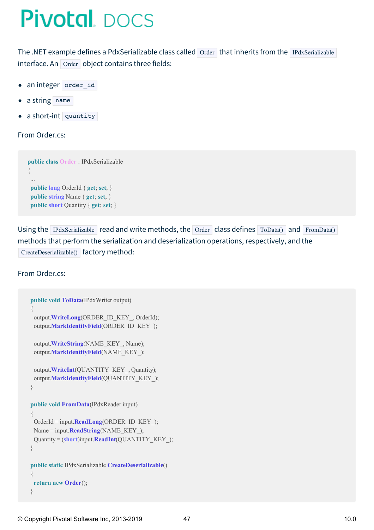The .NET example defines a PdxSerializable class called Order that inherits from the IPdxSerializable interface. An Order object contains three fields:

- $\bullet$ an integer order id
- a string name
- a short-int quantity  $\bullet$

### From Order.cs:

```
public class Order : IPdxSerializable
\{...
 public long OrderId { get; set; }
 public string Name { get; set; }
 public short Quantity { get; set; }
```
Using the IPdxSerializable read and write methods, the Order class defines ToData() and FromData() methods that perform the serialization and deserialization operations, respectively, and the CreateDeserializable() factory method:

#### From Order.cs:

```
public void ToData(IPdxWriter output)
{
 output.WriteLong(ORDER_ID_KEY_, OrderId);
 output.MarkIdentityField(ORDER_ID_KEY_);
 output.WriteString(NAME_KEY_, Name);
 output.MarkIdentityField(NAME_KEY_);
 output.WriteInt(QUANTITY_KEY_, Quantity);
 output.MarkIdentityField(QUANTITY_KEY_);
}
public void FromData(IPdxReader input)
{
 OrderId = input.ReadLong(ORDER_ID_KEY_);
 Name = input.ReadString(NAME_KEY_);
 Quantity = (short)input.ReadInt(QUANTITY_KEY_);
}
public static IPdxSerializable CreateDeserializable()
{
 return new Order();
}
```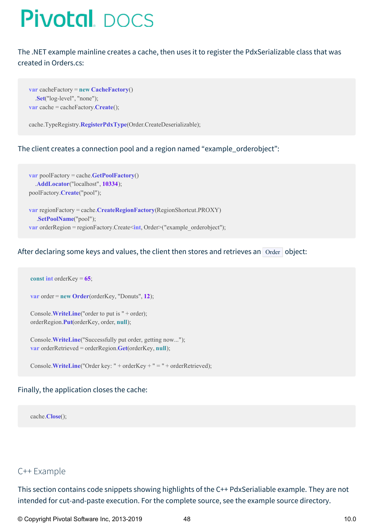The .NET example mainline creates a cache, then uses it to register the PdxSerializable class that was created in Orders.cs:

**var** cacheFactory = **new CacheFactory**() .**Set**("log-level", "none"); **var** cache = cacheFactory.**Create**();

cache.TypeRegistry.**RegisterPdxType**(Order.CreateDeserializable);

### The client creates a connection pool and a region named "example\_orderobject":

**var** poolFactory = cache.**GetPoolFactory**() .**AddLocator**("localhost", **10334**); poolFactory.**Create**("pool");

**var** regionFactory = cache.**CreateRegionFactory**(RegionShortcut.PROXY) .**SetPoolName**("pool"); **var** orderRegion = regionFactory.Create<int, Order>("example\_orderobject");

### After declaring some keys and values, the client then stores and retrieves an  $O(\sigma d)$  object:

**const int** orderKey = **65**;

**var** order = **new Order**(orderKey, "Donuts", **12**);

Console.**WriteLine**("order to put is " + order); orderRegion.**Put**(orderKey, order, **null**);

Console.**WriteLine**("Successfully put order, getting now..."); **var** orderRetrieved = orderRegion.**Get**(orderKey, **null**);

```
Console.WriteLine("Order key: " + orderKey + " = " + orderRetrieved);
```
### Finally, the application closes the cache:

cache.**Close**();

### C++ Example

This section contains code snippets showing highlights of the C++ PdxSerialiable example. They are not intended for cut-and-paste execution. For the complete source, see the example source directory.

© Copyright Pivotal Software Inc, 2013-2019 188 10.0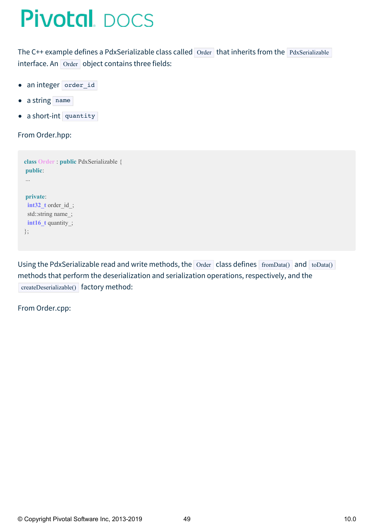The C++ example defines a PdxSerializable class called Order that inherits from the PdxSerializable interface. An Order object contains three fields:

- an integer order\_id  $\bullet$
- a string name  $\bullet$
- a short-int quantity

```
From Order.hpp:
```

```
class Order : public PdxSerializable {
public:
...
private:
int32_t order_id_;
std::string name_;
int16_t quantity_;
};
```
Using the PdxSerializable read and write methods, the  $\overline{O}$  Order class defines fromData() and toData() methods that perform the deserialization and serialization operations, respectively, and the createDeserializable() factory method:

From Order.cpp: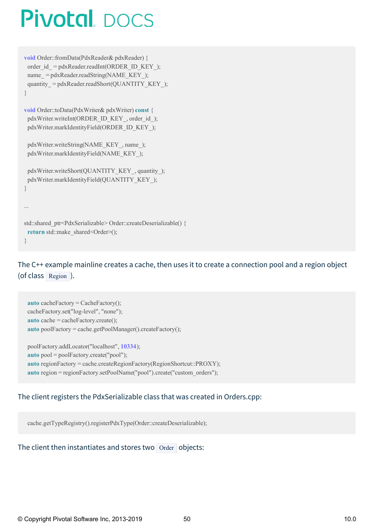```
void Order::fromData(PdxReader& pdxReader) {
order id = pdxReader.readInt(ORDER_ID_KEY_);
name = pdxReader.readString(NAME KEY);
quantity = pdxReader.readShort(QUANTITY_KEY_);
}
```

```
void Order::toData(PdxWriter& pdxWriter) const {
 pdxWriter.writeInt(ORDER_ID_KEY_, order_id_);
 pdxWriter.markIdentityField(ORDER_ID_KEY_);
```
pdxWriter.writeString(NAME\_KEY\_, name\_); pdxWriter.markIdentityField(NAME\_KEY\_);

```
pdxWriter.writeShort(QUANTITY_KEY_, quantity_);
pdxWriter.markIdentityField(QUANTITY_KEY_);
}
```

```
...
std::shared_ptr<PdxSerializable>Order::createDeserializable() {
 return std::make shared<Order>();
}
```
The C++ example mainline creates a cache, then uses it to create a connection pool and a region object (of class Region ).

**auto** cacheFactory = CacheFactory(); cacheFactory.set("log-level", "none"); **auto** cache = cacheFactory.create(); **auto** poolFactory = cache.getPoolManager().createFactory(); poolFactory.addLocator("localhost", **10334**); **auto** pool = poolFactory.create("pool"); **auto** regionFactory = cache.createRegionFactory(RegionShortcut::PROXY); **auto** region = regionFactory.setPoolName("pool").create("custom\_orders");

### The client registers the PdxSerializable class that was created in Orders.cpp:

cache.getTypeRegistry().registerPdxType(Order::createDeserializable);

The client then instantiates and stores two  $\alpha$  Order objects: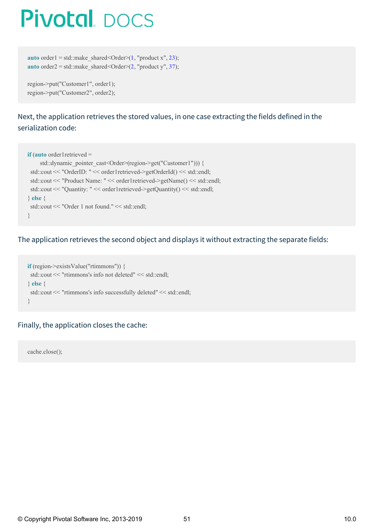**auto** order1 = std::make shared<Order> $(1, "product x", 23)$ ; **auto** order $2 = \text{std}$ ::make shared<Order> $(2, \text{ "product y", 37})$ ;

region->put("Customer1", order1); region->put("Customer2", order2);

### Next, the application retrieves the stored values, in one case extracting the fields defined in the serialization code:

```
if (auto order1retrieved =
     std::dynamic_pointer_cast<Order>(region->get("Customer1"))) {
 std::cout << "OrderID: " << order1retrieved->getOrderId() << std::endl;
 std::cout << "Product Name: " << order1retrieved->getName() << std::endl;
 std::cout << "Quantity: " << order1retrieved->getQuantity() << std::endl;
} else {
 std::cout << "Order 1 not found." << std::endl;
}
```
### The application retrieves the second object and displays it without extracting the separate fields:

```
if (region->existsValue("rtimmons")) {
 std::cout << "rtimmons's info not deleted" << std::endl;
} else {
 std::cout << "rtimmons's info successfully deleted" << std::endl;
}
```
### Finally, the application closes the cache:

cache.close();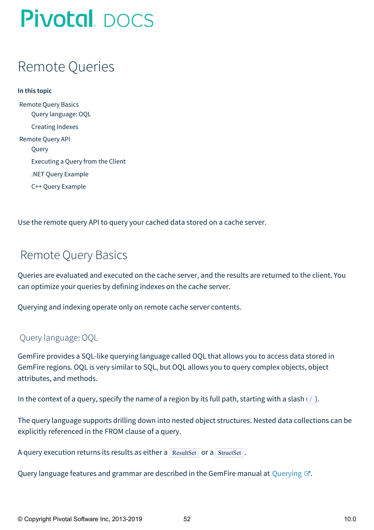## Remote Queries

**In this topic** [Remote](#page-51-0) Query Basics Query [language:](#page-51-1) OQL [Creating](#page-52-0) Indexes [Remote](#page-52-1) Query API [Query](#page-52-2) [Executing](#page-52-3) a Query from the Client .NET Query [Example](#page-53-0) C++ Query [Example](#page-53-1)

Use the remote query API to query your cached data stored on a cache server.

## <span id="page-51-0"></span>Remote Query Basics

Queries are evaluated and executed on the cache server, and the results are returned to the client. You can optimize your queries by defining indexes on the cache server.

Querying and indexing operate only on remote cache server contents.

### <span id="page-51-1"></span>Query language: OQL

GemFire provides a SQL-like querying language called OQL that allows you to access data stored in GemFire regions. OQL is very similar to SQL, but OQL allows you to query complex objects, object attributes, and methods.

In the context of a query, specify the name of a region by its full path, starting with a slash  $(7)$ .

The query language supports drilling down into nested object structures. Nested data collections can be explicitly referenced in the FROM clause of a query.

A query execution returns its results as either a ResultSet or a StructSet.

Query language features and grammar are described in the GemFire manual at [Querying](http://docs-gemfire-nativeclient-staging.cfapps.io/100/geode-native-client/geodeman/developing/querying_basics/chapter_overview.html)  $\mathbb{Z}$ .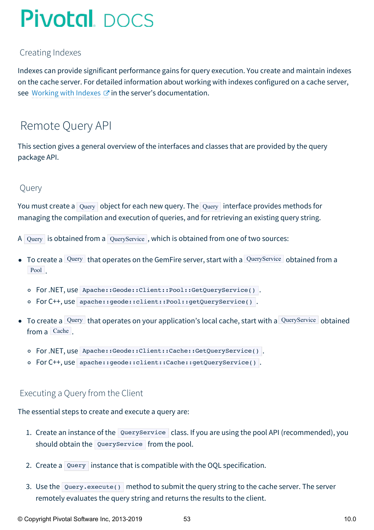### <span id="page-52-4"></span><span id="page-52-0"></span>Creating Indexes

Indexes can provide significant performance gains for query execution. You create and maintain indexes on the cache server. For detailed information about working with indexes configured on a cache server, see [Working](http://docs-gemfire-nativeclient-staging.cfapps.io/100/geode-native-client/geodeman/developing/query_index/query_index.html) with Indexes  $\mathbb{Z}^n$  in the server's documentation.

## <span id="page-52-1"></span>Remote Query API

This section gives a general overview of the interfaces and classes that are provided by the query package API.

### <span id="page-52-2"></span>Query

You must create a Query object for each new query. The Query interface provides methods for managing the compilation and execution of queries, and for retrieving an existing query string.

- A Query is obtained from a QueryService, which is obtained from one of two sources:
- $\bullet$  To create a Query that operates on the GemFire server, start with a QueryService obtained from a Pool .
	- o For.NET, use Apache::Geode::Client::Pool::GetQueryService().
	- o For C++, use apache::geode::client::Pool::getQueryService().
- To create a Query that operates on your application's local cache, start with a QueryService obtained from a Cache.
	- For .NET, use Apache::Geode::Client::Cache::GetQueryService() .
	- For C++, use apache::geode::client::Cache::getQueryService() .

### <span id="page-52-3"></span>Executing a Query from the Client

### The essential steps to create and execute a query are:

- 1. Create an instance of the QueryService class. If you are using the pool API (recommended), you should obtain the QueryService from the pool.
- 2. Create a Query instance that is compatible with the OQL specification.
- 3. Use the Query.execute() method to submit the query string to the cache server. The server remotely evaluates the query string and returns the results to the client.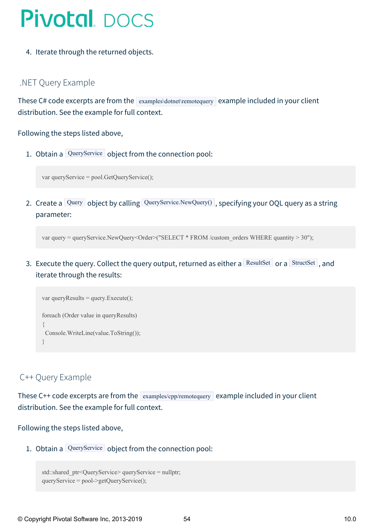4. Iterate through the returned objects.

### <span id="page-53-0"></span>.NET Query Example

These C# code excerpts are from the  $\vert$  examples\dotnet\remotequery example included in your client distribution. See the example for full context.

#### Following the steps listed above,

1. Obtain a QueryService object from the connection pool:

var queryService = pool.GetQueryService();

2. Create a Query object by calling QueryService.NewQuery(), specifying your OOL query as a string parameter:

var query = queryService.NewQuery<Order>("SELECT \* FROM /custom\_orders WHERE quantity > 30");

3. Execute the query. Collect the query output, returned as either a ResultSet or a StructSet , and iterate through the results:

```
var queryResults = query. Execute();foreach (Order value in queryResults)
{
 Console.WriteLine(value.ToString());
}
```
### <span id="page-53-1"></span>C++ Query Example

These C $++$  code excerpts are from the  $\frac{1}{2}$  examples/cpp/remotequery example included in your client distribution. See the example for full context.

Following the steps listed above,

1. Obtain a QueryService object from the connection pool:

```
std::shared_ptr<QueryService> queryService = nullptr;
queryService = pool->getQueryService();
```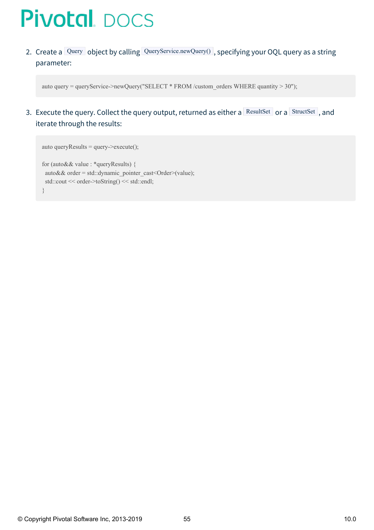2. Create a Query object by calling QueryService.newQuery(), specifying your OQL query as a string parameter:

auto query = queryService->newQuery("SELECT \* FROM /custom\_orders WHERE quantity > 30");

3. Execute the query. Collect the query output, returned as either a ResultSet or a StructSet, and iterate through the results:

```
auto queryResults = query->execute();
for (auto&& value : *queryResults) {
 auto & \& order = std::dynamic_pointer_cast<Order>(value);
 std::cout << order->toString() << std::endl;
}
```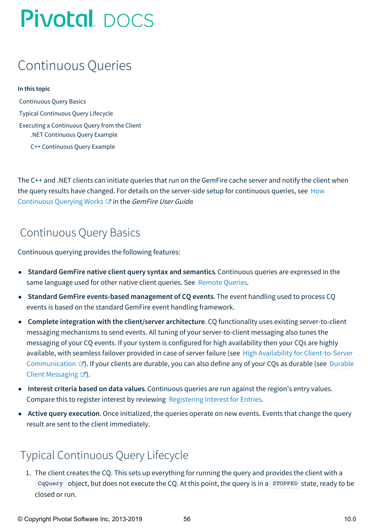## Continuous Queries

#### **In this topic**

[Continuous](#page-55-0) Query Basics Typical [Continuous](#page-55-1) Query Lifecycle Executing a [Continuous](#page-56-0) Query from the Client .NET [Continuous](#page-56-1) Query Example C++ [Continuous](#page-58-0) Query Example

The C++ and .NET clients can initiate queries that run on the GemFire cache server and notify the client when the query results have changed. For details on the server-side setup for continuous queries, see How [Continuous](http://docs-gemfire-nativeclient-staging.cfapps.io/100/geode-native-client/serverman/developing/continuous_querying/how_continuous_querying_works.html) Querying Works  $\mathbb G$  in the GemFire User Guide.

## <span id="page-55-0"></span>Continuous Query Basics

Continuous querying provides the following features:

- **Standard GemFire native client query syntax and semantics**. Continuous queries are expressed in the same language used for other native client queries. See [Remote](#page-52-4) Queries.
- **Standard GemFire events-based management of CQ events**. The event handling used to process CQ  $\bullet$ events is based on the standard GemFire event handling framework.
- **Complete integration with the client/server architecture**. CQ functionality uses existing server-to-client  $\bullet$ messaging mechanisms to send events. All tuning of your server-to-client messaging also tunes the messaging of your CQ events. If your system is configured for high availability then your CQs are highly available, with seamless failover provided in case of server failure (see High Availability for [Client-to-Server](http://docs-gemfire-nativeclient-staging.cfapps.io/100/geode-native-client/preserving-data/high-availability-client-server.html) [Communication](http://docs-gemfire-nativeclient-staging.cfapps.io/100/geode-native-client/preserving-data/durable-client-messaging.html)  $\mathbb{Z}$ ). If your clients are durable, you can also define any of your CQs as durable (see Durable Client Messaging  $\mathbb{Z}$ ).
- **Interest criteria based on data values**. Continuous queries are run against the region's entry values. Compare this to register interest by reviewing [Registering](#page-40-0) Interest for Entries.
- **Active query execution**. Once initialized, the queries operate on new events. Events that change the query result are sent to the client immediately.

## <span id="page-55-1"></span>Typical Continuous Query Lifecycle

1. The client creates the CQ. This sets up everything for running the query and provides the client with a  $CqQuery | object, but does not execute the CQ. At this point, the query is in a *STOPPED* state, ready to be$ closed or run.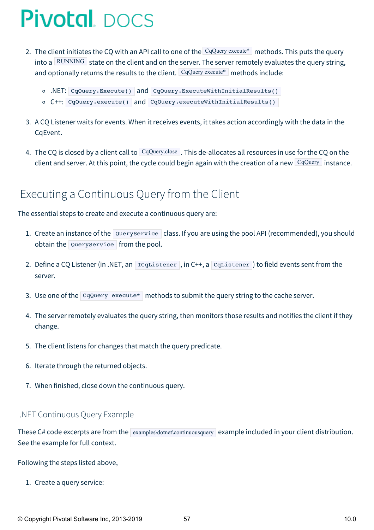- 2. The client initiates the CQ with an API call to one of the CqQuery execute\* methods. This puts the query into a RUNNING state on the client and on the server. The server remotely evaluates the query string, and optionally returns the results to the client. CqQuery execute\* methods include:
	- .NET: CqQuery.Execute() and CqQuery.ExecuteWithInitialResults()
	- C++: CqQuery.execute() and CqQuery.executeWithInitialResults()
- 3. A CQ Listener waits for events. When it receives events, it takes action accordingly with the data in the CqEvent.
- 4. The CQ is closed by a client call to CqQuery.close . This de-allocates all resources in use for the CQ on the client and server. At this point, the cycle could begin again with the creation of a new  $CqQuery$  instance.

### <span id="page-56-0"></span>Executing a Continuous Query from the Client

The essential steps to create and execute a continuous query are:

- 1. Create an instance of the QueryService class. If you are using the pool API (recommended), you should obtain the QueryService from the pool.
- 2. Define a CQ Listener (in .NET, an IcqListener, in C++, a CqListener) to field events sent from the server.
- 3. Use one of the CqQuery execute\* methods to submit the query string to the cache server.
- 4. The server remotely evaluates the query string, then monitors those results and notifies the client if they change.
- 5. The client listens for changes that match the query predicate.
- 6. Iterate through the returned objects.
- 7. When finished, close down the continuous query.

### <span id="page-56-1"></span>.NET Continuous Query Example

These C# code excerpts are from the examples\dotnet\continuousquery example included in your client distribution. See the example for full context.

Following the steps listed above,

1. Create a query service: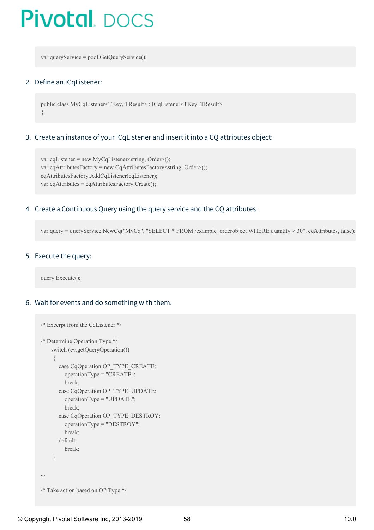var queryService = pool.GetQueryService();

#### 2. Define an ICqListener:

public class MyCqListener<TKey, TResult> : ICqListener<TKey, TResult> {

#### 3. Create an instance of your ICqListener and insert it into a CQ attributes object:

var cqListener = new MyCqListener < string, Order > (); var cqAttributesFactory = new CqAttributesFactory <string, Order > (); cqAttributesFactory.AddCqListener(cqListener); var cqAttributes = cqAttributesFactory.Create();

#### 4. Create a Continuous Query using the query service and the CQ attributes:

var query = queryService.NewCq("MyCq", "SELECT \* FROM /example\_orderobject WHERE quantity > 30", cqAttributes, false);

#### 5. Execute the query:

query.Execute();

#### 6. Wait for events and do something with them.

```
/* Excerpt from the CqListener */
/* Determine Operation Type */
    switch (ev.getQueryOperation())
    {
      case CqOperation.OP_TYPE_CREATE:
        operationType = "CREATE";
        break;
      case CqOperation.OP_TYPE_UPDATE:
        operationType = "UPDATE";
        break;
      case CqOperation.OP_TYPE_DESTROY:
        operationType = "DESTROY";
        break;
      default:
        break;
    }
...
/* Take action based on OP Type */
```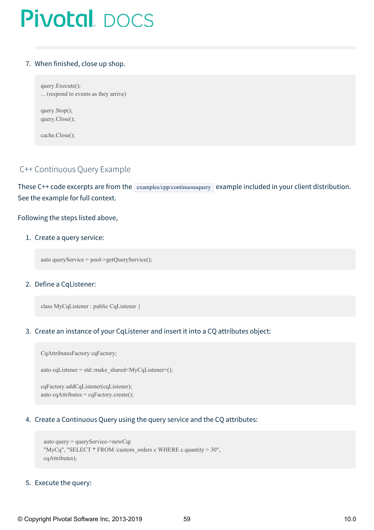#### 7. When finished, close up shop.

query.Execute(); ... (respond to events as they arrive)

query.Stop(); query.Close();

cache.Close();

### <span id="page-58-0"></span>C++ Continuous Query Example

These C++ code excerpts are from the  $\vert$  examples/cpp/continuousquery  $\vert$  example included in your client distribution. See the example for full context.

#### Following the steps listed above,

#### 1. Create a query service:

auto queryService = pool->getQueryService();

#### 2. Define a CqListener:

class MyCqListener : public CqListener {

#### 3. Create an instance of your CqListener and insert it into a CQ attributes object:

CqAttributesFactory cqFactory;

auto cqListener = std::make\_shared<MyCqListener>();

cqFactory.addCqListener(cqListener); auto cqAttributes = cqFactory.create();

#### 4. Create a Continuous Query using the query service and the CQ attributes:

```
auto query = queryService->newCq(
"MyCq", "SELECT * FROM /custom_orders c WHERE c.quantity > 30",
cqAttributes);
```
#### 5. Execute the query: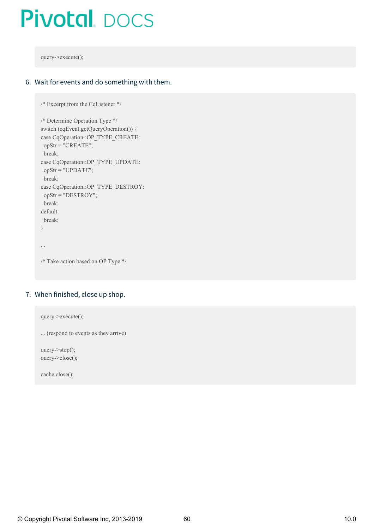query->execute();

#### 6. Wait for events and do something with them.

/\* Excerpt from the CqListener \*/

```
/* Determine Operation Type */
switch (cqEvent.getQueryOperation()) {
case CqOperation::OP_TYPE_CREATE:
opStr = "CREATE";
break;
case CqOperation::OP_TYPE_UPDATE:
 opStr = "UPDATE";break;
case CqOperation::OP_TYPE_DESTROY:
opStr = "DESTROY";
break;
default:
break;
}
...
/* Take action based on OP Type */
```
### 7. When finished, close up shop.

query->execute(); ... (respond to events as they arrive) query->stop(); query->close();

cache.close();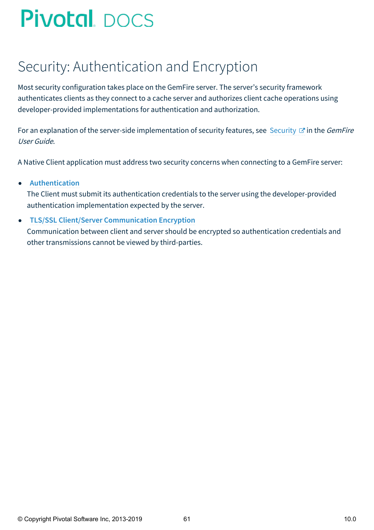## Security: Authentication and Encryption

Most security configuration takes place on the GemFire server. The server's security framework authenticates clients as they connect to a cache server and authorizes client cache operations using developer-provided implementations for authentication and authorization.

For an explanation of the server-side implementation of security features, see [Security](http://docs-gemfire-nativeclient-staging.cfapps.io/100/geode-native-client/security/geodeman/managing/security/chapter_overview.html)  $\sigma$  in the *GemFire* User Guide.

A Native Client application must address two security concerns when connecting to a GemFire server:

#### **[Authentication](#page-62-0)**  $\bullet$

The Client must submit its authentication credentials to the server using the developer-provided authentication implementation expected by the server.

#### **TLS/SSL Client/Server [Communication](#page-65-0) Encryption**  $\bullet$

Communication between client and server should be encrypted so authentication credentials and other transmissions cannot be viewed by third-parties.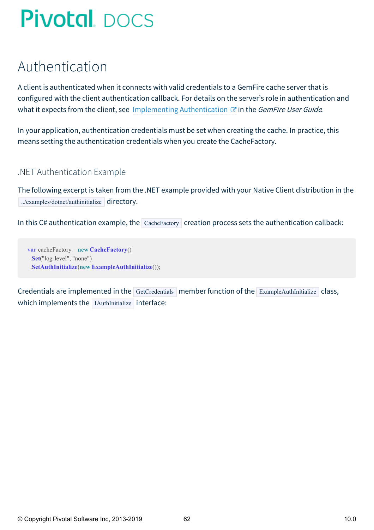## Authentication

A client is authenticated when it connects with valid credentials to a GemFire cache server that is configured with the client authentication callback. For details on the server's role in authentication and what it expects from the client, see Implementing [Authentication](http://docs-gemfire-nativeclient-staging.cfapps.io/100/geode-native-client/security/geodeman/managing/security/implementing_authentication.html)  $\mathbb{Z}$  in the *GemFire User Guide*.

In your application, authentication credentials must be set when creating the cache. In practice, this means setting the authentication credentials when you create the CacheFactory.

### .NET Authentication Example

The following excerpt is taken from the .NET example provided with your Native Client distribution in the ../examples/dotnet/authinitialize directory.

In this C# authentication example, the  $\sqrt{\frac{C_{\text{C}}}{C_{\text{C}}}}$  creation process sets the authentication callback:

**var** cacheFactory = **new CacheFactory**() .**Set**("log-level", "none") .**SetAuthInitialize**(**new ExampleAuthInitialize**());

Credentials are implemented in the GetCredentials member function of the ExampleAuthInitialize class, which implements the IAuthInitialize interface: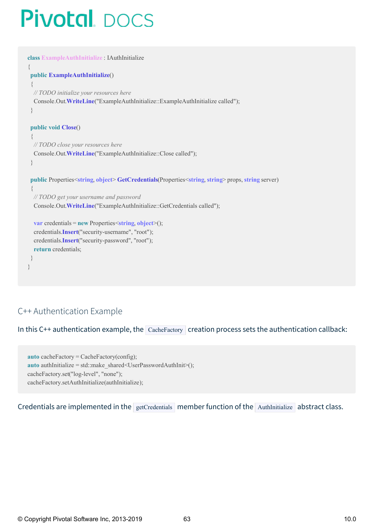```
class ExampleAuthInitialize : IAuthInitialize
{
 public ExampleAuthInitialize()
 {
  // TODO initialize your resources here
  Console.Out.WriteLine("ExampleAuthInitialize::ExampleAuthInitialize called");
 }
 public void Close()
 {
  // TODO close your resources here
  Console.Out.WriteLine("ExampleAuthInitialize::Close called");
 }
 public Properties<string, object> GetCredentials(Properties<string, string> props, string server)
 {
  // TODO get your username and password
  Console.Out.WriteLine("ExampleAuthInitialize::GetCredentials called");
  var credentials = new Properties<string, object>();
  credentials.Insert("security-username", "root");
  credentials.Insert("security-password", "root");
  return credentials;
 }
}
```
### C++ Authentication Example

In this C++ authentication example, the  $\sqrt{\frac{C_{\text{achefactory}}}{\text{C}_{\text{achector}}}}$  creation process sets the authentication callback:

**auto** cacheFactory = CacheFactory(config); **auto** authInitialize = std::make\_shared<UserPasswordAuthInit>(); cacheFactory.set("log-level", "none"); cacheFactory.setAuthInitialize(authInitialize);

Credentials are implemented in the getCredentials member function of the AuthInitialize abstract class.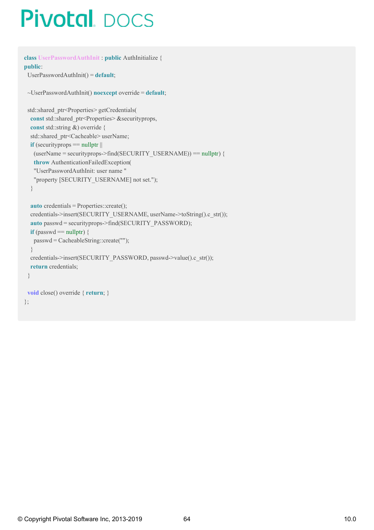```
class UserPasswordAuthInit : public AuthInitialize {
public:
 UserPasswordAuthInit() = default;
 ~UserPasswordAuthInit() noexcept override = default;
 std::shared_ptr<Properties> getCredentials(
  const std::shared_ptr<Properties> &securityprops,
  const std::string &) override {
  std::shared_ptr<Cacheable> userName;
  if (security props == nullptr ||(userName = securityprops->find(SECURITY_USERNAME)) == nullptr) {
   throw AuthenticationFailedException(
   "UserPasswordAuthInit: user name "
   "property [SECURITY_USERNAME] not set.");
  }
  auto credentials = Properties::create();
  credentials->insert(SECURITY_USERNAME, userName->toString().c_str());
  auto passwd = securityprops->find(SECURITY_PASSWORD);
  if (passwd == nullptr) {
   passwd = CacheableString::create("");
  }
  credentials->insert(SECURITY_PASSWORD, passwd->value().c_str());
  return credentials;
 }
 void close() override { return; }
};
```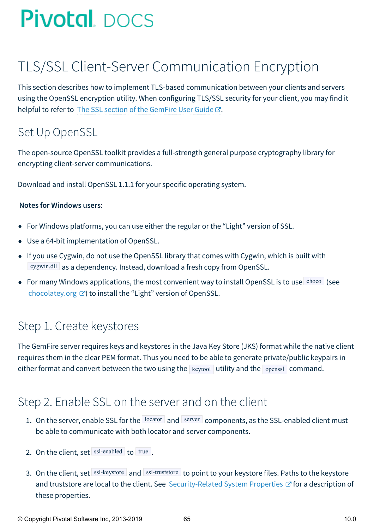## TLS/SSL Client-Server Communication Encryption

This section describes how to implement TLS-based communication between your clients and servers using the OpenSSL encryption utility. When configuring TLS/SSL security for your client, you may find it helpful to refer to The SSL section of the [GemFire](http://docs-gemfire-nativeclient-staging.cfapps.io/100/geode-native-client/security/serverman/managing/security/ssl_overview.html) User Guide  $\mathbb{Z}$ .

## Set Up OpenSSL

The open-source OpenSSL toolkit provides a full-strength general purpose cryptography library for encrypting client-server communications.

Download and install OpenSSL 1.1.1 for your specific operating system.

### **Notes for Windows users:**

- For Windows platforms, you can use either the regular or the "Light" version of SSL.
- Use a 64-bit implementation of OpenSSL.
- If you use Cygwin, do not use the OpenSSL library that comes with Cygwin, which is built with cygwin.dll as a dependency. Instead, download a fresh copy from OpenSSL.
- For many Windows applications, the most convenient way to install OpenSSL is to use  $\frac{\text{choco}}{\text{see}}$  (see [chocolatey.org](https://chocolatey.org/packages/OpenSSL.Light)  $\mathbb{Z}$ ) to install the "Light" version of OpenSSL.

## Step 1. Create keystores

The GemFire server requires keys and keystores in the Java Key Store (JKS) format while the native client requires them in the clear PEM format. Thus you need to be able to generate private/public keypairs in either format and convert between the two using the  $\vert$  keytool utility and the  $\vert$  openssl command.

### Step 2. Enable SSL on the server and on the client

- 1. On the server, enable SSL for the locator and server components, as the SSL-enabled client must be able to communicate with both locator and server components.
- 2. On the client, set  $\vert$  ssl-enabled to true.
- 3. On the client, set ssl-keystore and ssl-truststore to point to your keystore files. Paths to the keystore and truststore are local to the client. See [Security-Related](http://docs-gemfire-nativeclient-staging.cfapps.io/100/geode-native-client/security/security-systemprops.html#security) System Properties  $\mathbb{Z}^r$  for a description of these properties.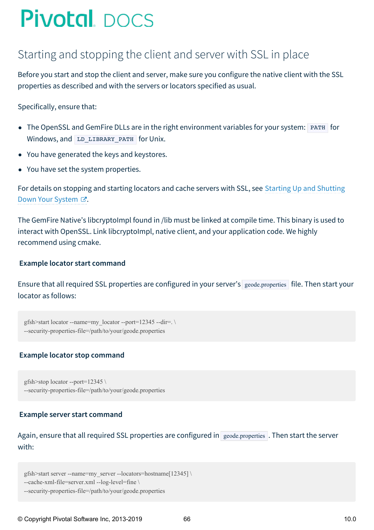## <span id="page-65-0"></span>Starting and stopping the client and server with SSL in place

Before you start and stop the client and server, make sure you configure the native client with the SSL properties as described and with the servers or locators specified as usual.

Specifically, ensure that:

- The OpenSSL and GemFire DLLs are in the right environment variables for your system: PATH for Windows, and LD\_LIBRARY\_PATH for Unix.
- You have generated the keys and keystores.
- You have set the system properties.

For details on [stopping](http://docs-gemfire-nativeclient-staging.cfapps.io/100/geode-native-client/security/geodeman/configuring/running/starting_up_shutting_down.html) and starting locators and cache servers with SSL, see Starting Up and Shutting Down Your System ぴ.

The GemFire Native's libcryptoImpl found in /lib must be linked at compile time. This binary is used to interact with OpenSSL. Link libcryptoImpl, native client, and your application code. We highly recommend using cmake.

### **Example locator start command**

Ensure that all required SSL properties are configured in your server's geode.properties file. Then start your locator as follows:

```
gfsh>start locator --name=my_locator --port=12345 --dir=. \
--security-properties-file=/path/to/your/geode.properties
```
### **Example locator stop command**

gfsh>stop locator --port=12345 \ --security-properties-file=/path/to/your/geode.properties

### **Example server start command**

Again, ensure that all required SSL properties are configured in  $g$ eode.properties . Then start the server with:

gfsh>start server --name=my\_server --locators=hostname[12345] \

```
--cache-xml-file=server.xml --log-level=fine \
```

```
--security-properties-file=/path/to/your/geode.properties
```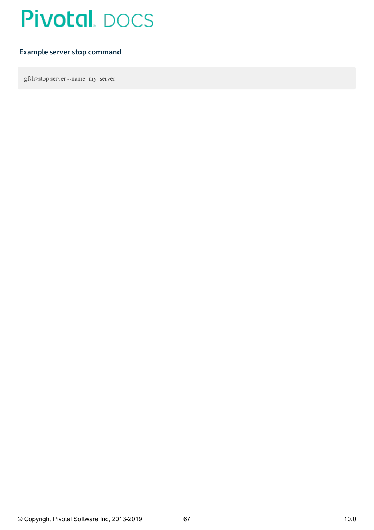### **Example server stop command**

gfsh>stop server --name=my\_server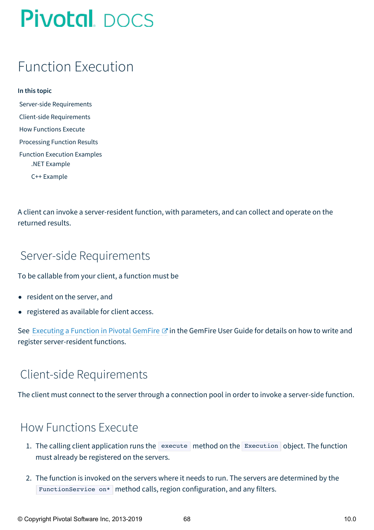## Function Execution

**In this topic** Server-side [Requirements](#page-67-0) Client-side [Requirements](#page-67-1) How [Functions](#page-67-2) Execute [Processing](#page-68-0) Function Results Function [Execution](#page-69-0) Examples .NET [Example](#page-69-1) C++ [Example](#page-71-0)

A client can invoke a server-resident function, with parameters, and can collect and operate on the returned results.

## <span id="page-67-0"></span>Server-side Requirements

To be callable from your client, a function must be

- resident on the server, and
- registered as available for client access.

See [Executing](http://docs-gemfire-nativeclient-staging.cfapps.io/100/geode-native-client/serverman/developing/function_exec/function_execution.html) a Function in Pivotal GemFire & in the GemFire User Guide for details on how to write and register server-resident functions.

## <span id="page-67-1"></span>Client-side Requirements

The client must connect to the server through a connection pool in order to invoke a server-side function.

### <span id="page-67-2"></span>How Functions Execute

- 1. The calling client application runs the execute method on the Execution object. The function must already be registered on the servers.
- 2. The function is invoked on the servers where it needs to run. The servers are determined by the FunctionService on\* method calls, region configuration, and any filters.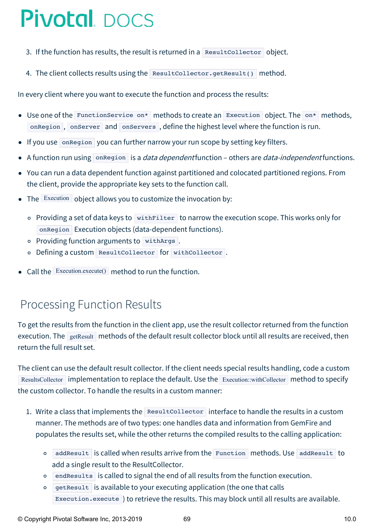- 3. If the function has results, the result is returned in a Result Collector object.
- 4. The client collects results using the ResultCollector.getResult() method.

In every client where you want to execute the function and process the results:

- Use one of the FunctionService on\* methods to create an Execution object. The on\* methods, onRegion, onServer and onServers, define the highest level where the function is run.
- If you use onRegion you can further narrow your run scope by setting key filters.
- A function run using onRegion is a *data dependent* function others are *data-independent* functions.
- You can run a data dependent function against partitioned and colocated partitioned regions. From the client, provide the appropriate key sets to the function call.
- The Execution object allows you to customize the invocation by:
	- $\circ$  Providing a set of data keys to with Filter to narrow the execution scope. This works only for onRegion Execution objects (data-dependent functions).
	- o Providing function arguments to withArgs.
	- o Defining a custom ResultCollector for withCollector.
- Call the Execution.execute() method to run the function.

## <span id="page-68-0"></span>Processing Function Results

To get the results from the function in the client app, use the result collector returned from the function execution. The getResult methods of the default result collector block until all results are received, then return the full result set.

The client can use the default result collector. If the client needs special results handling, code a custom ResultsCollector implementation to replace the default. Use the Execution::withCollector method to specify the custom collector. To handle the results in a custom manner:

- 1. Write a class that implements the ResultCollector interface to handle the results in a custom manner. The methods are of two types: one handles data and information from GemFire and populates the results set, while the other returns the compiled results to the calling application:
	- addResult is called when results arrive from the Function methods. Use addResult to add a single result to the ResultCollector.
	- endResults is called to signal the end of all results from the function execution.
	- getResult is available to your executing application (the one that calls  $\circ$ Execution.execute ) to retrieve the results. This may block until all results are available.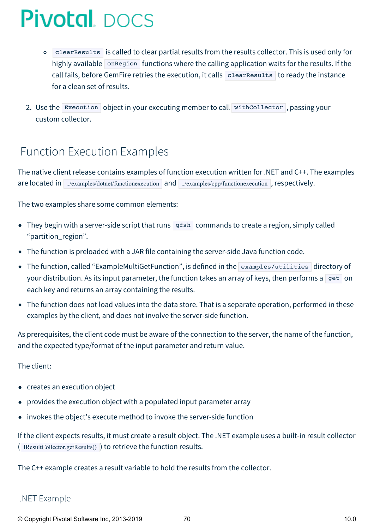- clearResults is called to clear partial results from the results collector. This is used only for  $\circ$ highly available on Region functions where the calling application waits for the results. If the call fails, before GemFire retries the execution, it calls  $|$  clearResults to ready the instance for a clean set of results.
- 2. Use the Execution object in your executing member to call withCollector, passing your custom collector.

## <span id="page-69-0"></span>Function Execution Examples

The native client release contains examples of function execution written for .NET and C++. The examples are located in ../examples/dotnet/functionexecution and ../examples/cpp/functionexecution , respectively.

The two examples share some common elements:

- They begin with a server-side script that runs  $\sqrt{gfsh}$  commands to create a region, simply called "partition\_region".
- The function is preloaded with a JAR file containing the server-side Java function code.
- The function, called "ExampleMultiGetFunction", is defined in the examples/utilities directory of your distribution. As its input parameter, the function takes an array of keys, then performs a get on each key and returns an array containing the results.
- The function does not load values into the data store. That is a separate operation, performed in these examples by the client, and does not involve the server-side function.

As prerequisites, the client code must be aware of the connection to the server, the name of the function, and the expected type/format of the input parameter and return value.

### The client:

- creates an execution object
- provides the execution object with a populated input parameter array
- invokes the object's execute method to invoke the server-side function

If the client expects results, it must create a result object. The .NET example uses a built-in result collector ( IResultCollector.getResults() ) to retrieve the function results.

The C++ example creates a result variable to hold the results from the collector.

### <span id="page-69-1"></span>.NET Example

© Copyright Pivotal Software Inc, 2013-2019 10.0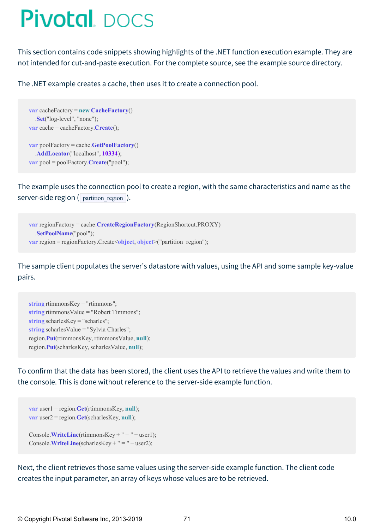This section contains code snippets showing highlights of the .NET function execution example. They are not intended for cut-and-paste execution. For the complete source, see the example source directory.

The .NET example creates a cache, then uses it to create a connection pool.

```
var cacheFactory = new CacheFactory()
  .Set("log-level", "none");
var cache = cacheFactory.Create();
```

```
var poolFactory = cache.GetPoolFactory()
  .AddLocator("localhost", 10334);
var pool = poolFactory.Create("pool");
```
The example uses the connection pool to create a region, with the same characteristics and name as the server-side region ( partition region ).

```
var regionFactory = cache.CreateRegionFactory(RegionShortcut.PROXY)
  .SetPoolName("pool");
var region = regionFactory.Create<object, object>("partition_region");
```
The sample client populates the server's datastore with values, using the API and some sample key-value pairs.

```
string rtimmonsKey = "rtimmons";
string rtimmonsValue = "Robert Timmons";
string scharlesKey = "scharles";
string scharlesValue = "Sylvia Charles";
region.Put(rtimmonsKey, rtimmonsValue, null);
region.Put(scharlesKey, scharlesValue, null);
```
To confirm that the data has been stored, the client uses the API to retrieve the values and write them to the console. This is done without reference to the server-side example function.

```
var user1 = region.Get(rtimmonsKey, null);
var user2 = region.Get(scharlesKey, null);
```
Console.**WriteLine**(rtimmonsKey +  $" = " + user1);$ Console.**WriteLine**(scharlesKey + " = " + user2);

Next, the client retrieves those same values using the server-side example function. The client code creates the input parameter, an array of keys whose values are to be retrieved.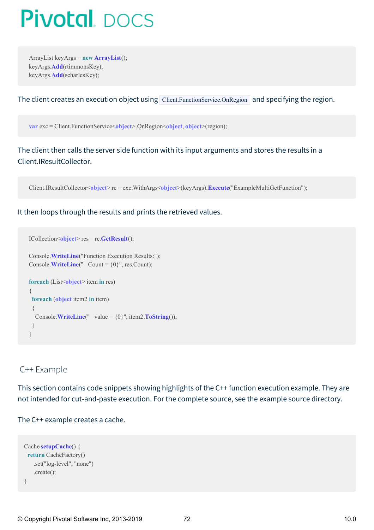ArrayList keyArgs = **new ArrayList**(); keyArgs.**Add**(rtimmonsKey); keyArgs.**Add**(scharlesKey);

The client creates an execution object using Client.FunctionService.OnRegion and specifying the region.

**var** exc = Client.FunctionService<**object**>.OnRegion<**object**, **object**>(region);

The client then calls the server side function with its input arguments and stores the results in a Client.IResultCollector.

Client.IResultCollector<**object**> rc = exc.WithArgs<**object**>(keyArgs).**Execute**("ExampleMultiGetFunction");

#### It then loops through the results and prints the retrieved values.

```
ICollection<object> res = rc.GetResult();
Console.WriteLine("Function Execution Results:");
Console.WriteLine(" Count = {0}", res.Count);
foreach (List<object> item in res)
{
 foreach (object item2 in item)
 \{Console.WriteLine(" value = \{0\}", item2.ToString());
 }
}
```
### <span id="page-71-0"></span>C++ Example

This section contains code snippets showing highlights of the C++ function execution example. They are not intended for cut-and-paste execution. For the complete source, see the example source directory.

The C++ example creates a cache.

```
Cache setupCache() {
 return CacheFactory()
   .set("log-level", "none")
   .create();
}
```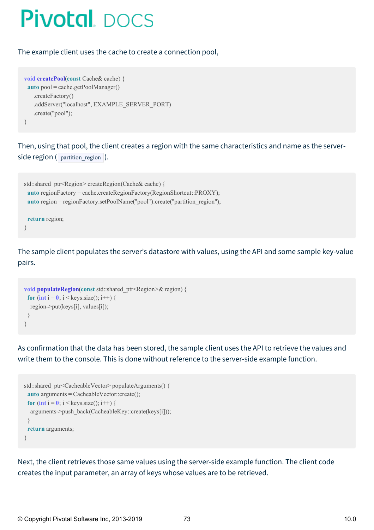#### The example client uses the cache to create a connection pool,

```
void createPool(const Cache& cache) {
 auto pool = cache.getPoolManager()
   .createFactory()
   .addServer("localhost", EXAMPLE_SERVER_PORT)
   .create("pool");
}
```
Then, using that pool, the client creates a region with the same characteristics and name as the serverside region ( partition region ).

```
std::shared_ptr<Region> createRegion(Cache& cache) {
 auto regionFactory = cache.createRegionFactory(RegionShortcut::PROXY);
 auto region = regionFactory.setPoolName("pool").create("partition region");
 return region;
}
```
The sample client populates the server's datastore with values, using the API and some sample key-value pairs.

```
void populateRegion(const std::shared ptr<Region>& region) {
 for (int i = 0; i < keys.size(); i ++) {
  region->put(keys[i], values[i]);
 }
}
```
As confirmation that the data has been stored, the sample client uses the API to retrieve the values and write them to the console. This is done without reference to the server-side example function.

```
std::shared_ptr<CacheableVector> populateArguments() {
 auto arguments = CacheableVector::create();
 for (int i = 0; i < keys.size(); i++) {
  arguments->push_back(CacheableKey::create(keys[i]));
 }
 return arguments;
}
```
Next, the client retrieves those same values using the server-side example function. The client code creates the input parameter, an array of keys whose values are to be retrieved.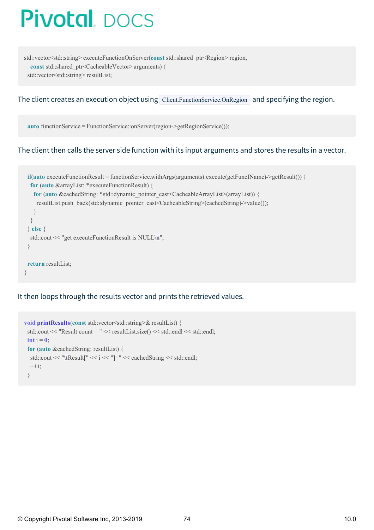std::vector<std::string> executeFunctionOnServer(**const** std::shared\_ptr<Region> region, **const** std::shared\_ptr<CacheableVector> arguments) { std::vector<std::string> resultList;

The client creates an execution object using Client.FunctionService.OnRegion and specifying the region.

**auto** functionService = FunctionService::onServer(region->getRegionService());

#### The client then calls the server side function with its input arguments and stores the results in a vector.

```
if(auto executeFunctionResult = functionService.withArgs(arguments).execute(getFuncIName)->getResult()) {
  for (auto &arrayList: *executeFunctionResult) {
   for (auto &cachedString: *std::dynamic_pointer_cast<CacheableArrayList>(arrayList)) {
    resultList.push_back(std::dynamic_pointer_cast<CacheableString>(cachedString)->value());
   }
  }
} else {
  std::cout << "get executeFunctionResult is NULL\n";
 }
return resultList;
}
```
#### It then loops through the results vector and prints the retrieved values.

```
void printResults(const std::vector<std::string>& resultList) {
 std::cout << "Result count = " << resultList.size() << std::endl << std::endl;
 int i = 0;
 for (auto &cachedString: resultList) {
  std::cout << "\tResult[" << i << "]=" << cachedString << std::endl;
  ++i;}
```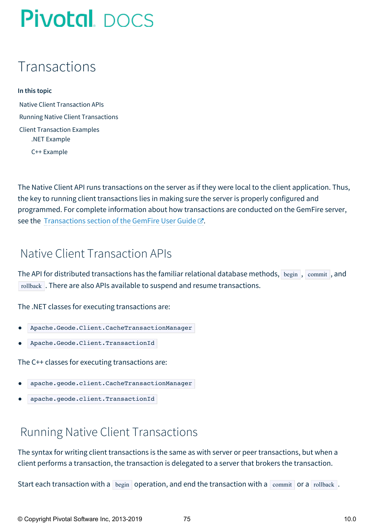## Transactions

**In this topic** Native Client [Transaction](#page-74-0) APIs Running Native Client [Transactions](#page-74-1) Client [Transaction](#page-75-0) Examples .NET [Example](#page-75-1) C++ [Example](#page-77-0)

The Native Client API runs transactions on the server as if they were local to the client application. Thus, the key to running client transactions lies in making sure the server is properly configured and programmed. For complete information about how transactions are conducted on the GemFire server, see the [Transactions](http://docs-gemfire-nativeclient-staging.cfapps.io/100/geode-native-client/geodeman/developing/transactions/chapter_overview.html) section of the GemFire User Guide  $\mathbb{Z}$ .

## <span id="page-74-0"></span>Native Client Transaction APIs

The API for distributed transactions has the familiar relational database methods, begin , commit , and rollback . There are also APIs available to suspend and resume transactions.

The .NET classes for executing transactions are:

- Apache.Geode.Client.CacheTransactionManager
- Apache.Geode.Client.TransactionId

The C++ classes for executing transactions are:

- apache.geode.client.CacheTransactionManager
- apache.geode.client.TransactionId

## <span id="page-74-1"></span>Running Native Client Transactions

The syntax for writing client transactions is the same as with server or peer transactions, but when a client performs a transaction, the transaction is delegated to a server that brokers the transaction.

Start each transaction with a begin operation, and end the transaction with a commit or a rollback.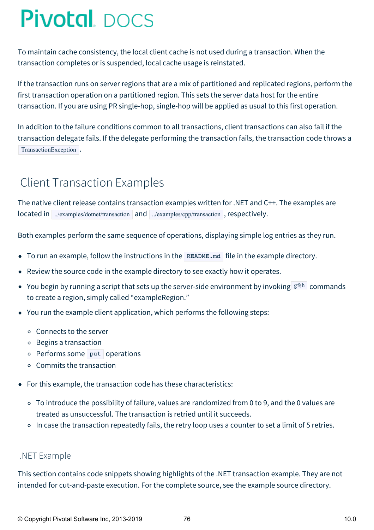To maintain cache consistency, the local client cache is not used during a transaction. When the transaction completes or is suspended, local cache usage is reinstated.

If the transaction runs on server regions that are a mix of partitioned and replicated regions, perform the first transaction operation on a partitioned region. This sets the server data host for the entire transaction. If you are using PR single-hop, single-hop will be applied as usual to this first operation.

In addition to the failure conditions common to all transactions, client transactions can also fail if the transaction delegate fails. If the delegate performing the transaction fails, the transaction code throws a TransactionException .

## <span id="page-75-0"></span>Client Transaction Examples

The native client release contains transaction examples written for .NET and C++. The examples are located in ../examples/dotnet/transaction and ../examples/cpp/transaction, respectively.

Both examples perform the same sequence of operations, displaying simple log entries as they run.

- To run an example, follow the instructions in the  $R$  README. and file in the example directory.
- Review the source code in the example directory to see exactly how it operates.
- You begin by running a script that sets up the server-side environment by invoking  $gfsh$  commands to create a region, simply called "exampleRegion."
- You run the example client application, which performs the following steps:
	- Connects to the server
	- Begins a transaction
	- o Performs some put operations
	- Commits the transaction
- For this example, the transaction code has these characteristics:
	- To introduce the possibility of failure, values are randomized from 0 to 9, and the 0 values are treated as unsuccessful. The transaction is retried until it succeeds.
	- In case the transaction repeatedly fails, the retry loop uses a counter to set a limit of 5 retries.

### <span id="page-75-1"></span>.NET Example

This section contains code snippets showing highlights of the .NET transaction example. They are not intended for cut-and-paste execution. For the complete source, see the example source directory.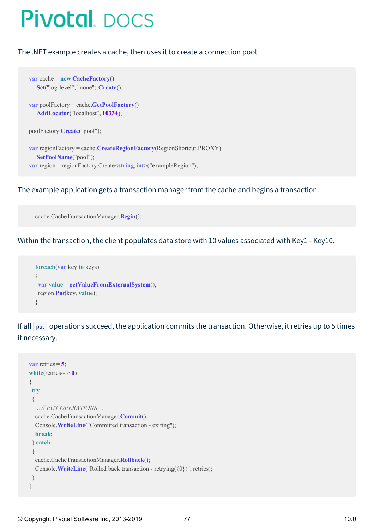The .NET example creates a cache, then uses it to create a connection pool.

```
var cache = new CacheFactory()
  .Set("log-level", "none").Create();
var poolFactory = cache.GetPoolFactory()
  .AddLocator("localhost", 10334);
poolFactory.Create("pool");
var regionFactory = cache.CreateRegionFactory(RegionShortcut.PROXY)
  .SetPoolName("pool");
var region = regionFactory.Create<string, int>("exampleRegion");
```
The example application gets a transaction manager from the cache and begins a transaction.

cache.CacheTransactionManager.**Begin**();

Within the transaction, the client populates data store with 10 values associated with Key1 - Key10.

```
foreach(var key in keys)
{
var value = getValueFromExternalSystem();
region.Put(key, value);
}
```
If all  $\lceil$  put operations succeed, the application commits the transaction. Otherwise, it retries up to 5 times if necessary.

```
var retries = 5;
while(retries-- 0){
try
 {
 ... // PUT OPERATIONS ...
  cache.CacheTransactionManager.Commit();
  Console.WriteLine("Committed transaction - exiting");
  break;
 } catch
 {
  cache.CacheTransactionManager.Rollback();
  Console.WriteLine("Rolled back transaction - retrying({0})", retries);
 }
}
```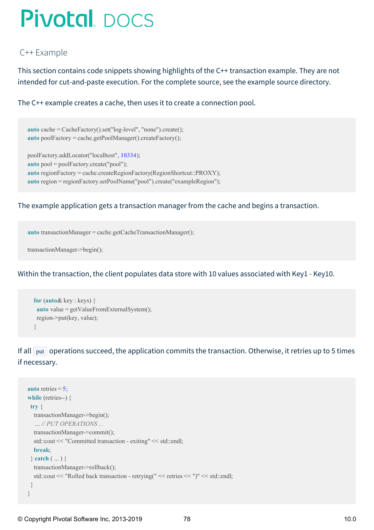### <span id="page-77-0"></span>C++ Example

This section contains code snippets showing highlights of the C++ transaction example. They are not intended for cut-and-paste execution. For the complete source, see the example source directory.

The C++ example creates a cache, then uses it to create a connection pool.

```
auto cache = CacheFactory().set("log-level", "none").create();
auto poolFactory = cache.getPoolManager().createFactory();
poolFactory.addLocator("localhost", 10334);
auto pool = poolFactory.create("pool");
auto regionFactory = cache.createRegionFactory(RegionShortcut::PROXY);
auto region = regionFactory.setPoolName("pool").create("exampleRegion");
```
#### The example application gets a transaction manager from the cache and begins a transaction.

**auto** transactionManager = cache.getCacheTransactionManager();

```
transactionManager->begin();
```
#### Within the transaction, the client populates data store with 10 values associated with Key1 - Key10.

```
for (auto& key : keys) {
auto value = getValueFromExternalSystem();
region->put(key, value);
}
```
If all  $\lceil$  put operations succeed, the application commits the transaction. Otherwise, it retries up to 5 times if necessary.

```
auto retries = 5;
while (retries--) {
 try {
  transactionManager->begin();
   ... // PUT OPERATIONS ...
  transactionManager->commit();
  std::cout << "Committed transaction - exiting" << std::endl;
  break;
 } catch ( ... ) {
  transactionManager->rollback();
  std::cout << "Rolled back transaction - retrying(" << retries << ")" << std::endl;
 }
}
```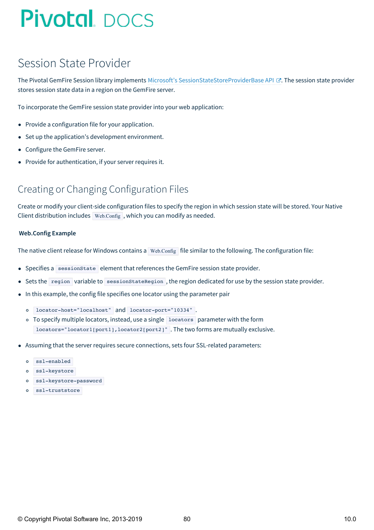## Session State Provider

The Pivotal GemFire Session library implements Microsoft's [SessionStateStoreProviderBase](https://msdn.microsoft.com/en-us/library/system.web.sessionstate.sessionstatestoreproviderbase(v=vs.110).aspx) API & The session state provider stores session state data in a region on the GemFire server.

To incorporate the GemFire session state provider into your web application:

- Provide a configuration file for your application.
- Set up the application's development environment.  $\bullet$
- Configure the GemFire server.  $\bullet$
- Provide for authentication, if your server requires it.

### Creating or Changing Configuration Files

Create or modify your client-side configuration files to specify the region in which session state will be stored. Your Native Client distribution includes  $Web.Config$ , which you can modify as needed.

#### **Web.Config Example**

The native client release for Windows contains a Web.Config file similar to the following. The configuration file:

- Specifies a sessionState element that references the GemFire session state provider.  $\bullet$
- Sets the region variable to sessionStateRegion, the region dedicated for use by the session state provider.  $\bullet$
- In this example, the config file specifies one locator using the parameter pair
	- locator-host="localhost" and locator-port="10334" .
	- o To specify multiple locators, instead, use a single locators parameter with the form locators="locator1[port1], locator2[port2]". The two forms are mutually exclusive.
- Assuming that the server requires secure connections, sets four SSL-related parameters:
	- ssl-enabled
	- ssl-keystore
	- ssl-keystore-password
	- ssl-truststore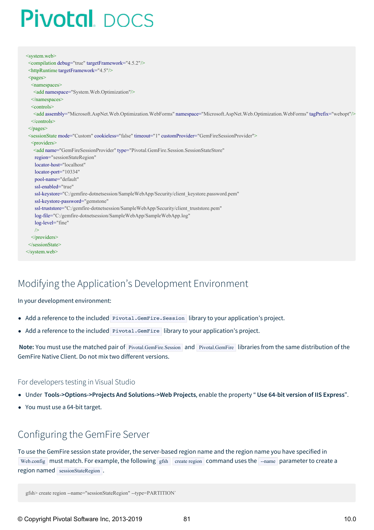```
<system.web>
<compilation debug="true" targetFramework="4.5.2"/>
<httpRuntime targetFramework="4.5"/>
<pages><namespaces>
  <add namespace="System.Web.Optimization"/>
  </namespaces>
  <controls>
  <add assembly="Microsoft.AspNet.Web.Optimization.WebForms" namespace="Microsoft.AspNet.Web.Optimization.WebForms" tagPrefix="webopt"/>
  </controls>
<\langlepages><sessionState mode="Custom" cookieless="false" timeout="1" customProvider="GemFireSessionProvider">
  <providers>
   <add name="GemFireSessionProvider" type="Pivotal.GemFire.Session.SessionStateStore"
   region="sessionStateRegion"
   locator-host="localhost"
   locator-port="10334"
   pool-name="default"
   ssl-enabled="true"
   ssl-keystore="C:/gemfire-dotnetsession/SampleWebApp/Security/client_keystore.password.pem"
   ssl-keystore-password="gemstone"
   ssl-truststore="C:/gemfire-dotnetsession/SampleWebApp/Security/client_truststore.pem"
   log-file="C:/gemfire-dotnetsession/SampleWebApp/SampleWebApp.log"
   log-level="fine"
   />
  </providers>
</sessionState>
</system.web>
```
### Modifying the Application's Development Environment

#### In your development environment:

- $\bullet$ Add a reference to the included Pivotal.GemFire.Session library to your application's project.
- Add a reference to the included Pivotal.GemFire library to your application's project.  $\bullet$

**Note:** You must use the matched pair of Pivotal.GemFire.Session and Pivotal.GemFire libraries from the same distribution of the GemFire Native Client. Do not mix two different versions.

#### For developers testing in Visual Studio

- Under **Tools->Options->Projects And Solutions->Web Projects**, enable the property " **Use 64-bit version of IIS Express**".
- You must use a 64-bit target.

### Configuring the GemFire Server

To use the GemFire session state provider, the server-based region name and the region name you have specified in Web.config must match. For example, the following gfsh create region command uses the --name parameter to create a region named sessionStateRegion.

```
gfsh> create region --name="sessionStateRegion" --type=PARTITION`
```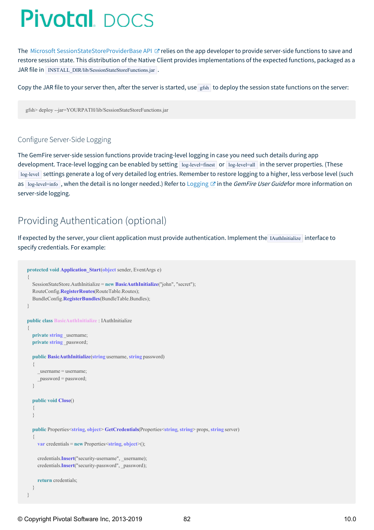The Microsoft [SessionStateStoreProviderBase](https://msdn.microsoft.com/en-us/library/system.web.sessionstate.sessionstatestoreproviderbase(v=vs.110).aspx) API & relies on the app developer to provide server-side functions to save and restore session state. This distribution of the Native Client provides implementations of the expected functions, packaged as a JAR file in INSTALL\_DIR/lib/SessionStateStoreFunctions.jar .

Copy the JAR file to your server then, after the server is started, use gfsh to deploy the session state functions on the server:

gfsh> deploy --jar=YOURPATH/lib/SessionStateStoreFunctions.jar

#### Configure Server-Side Logging

The GemFire server-side session functions provide tracing-level logging in case you need such details during app development. Trace-level logging can be enabled by setting log-level=finest or log-level=all in the server properties. (These log-level settings generate a log of very detailed log entries. Remember to restore logging to a higher, less verbose level (such as  $\log$ -level=info, when the detail is no longer needed.) Refer to [Logging](http://docs-gemfire-nativeclient-staging.cfapps.io/100/gemfire-native-client-ssp/serverman/managing/logging/logging.html)  $\mathbb{Z}$  in the *GemFire User Guidefor* more information on server-side logging.

### Providing Authentication (optional)

If expected by the server, your client application must provide authentication. Implement the IAuthInitialize interface to specify credentials. For example:

```
protected void Application_Start(object sender, EventArgs e)
{
  SessionStateStore.AuthInitialize = new BasicAuthInitialize("john", "secret");
  RouteConfig.RegisterRoutes(RouteTable.Routes);
  BundleConfig.RegisterBundles(BundleTable.Bundles);
}
public class BasicAuthInitialize : IAuthInitialize
{
  private string _username;
  private string password;
  public BasicAuthInitialize(string username, string password)
  {
     _username = username;
     _password = password;
  }
  public void Close()
  {
  }
  public Properties<string, object> GetCredentials(Properties<string, string> props, string server)
  {
     var credentials = new Properties<string, object>();
     credentials.Insert("security-username", username);
     credentials.Insert("security-password", _password);
     return credentials;
  }
}
```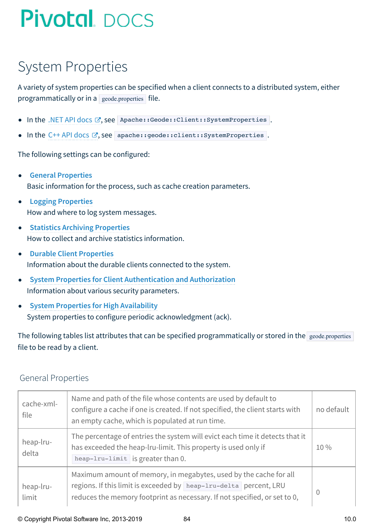## System Properties

A variety of system properties can be specified when a client connects to a distributed system, either programmatically or in a geode.properties file.

- In the .NET API [docs](http://docs-gemfire-nativeclient-staging.cfapps.io/100/geode-native-client/configuring/dotnetdocs)  $C$ , see Apache::Geode::Client::SystemProperties
- $\bullet$  In the C++ API [docs](http://docs-gemfire-nativeclient-staging.cfapps.io/100/geode-native-client/configuring/cppdocs)  $\mathbb{Z}$ , see apache:: geode:: client:: SystemProperties.

The following settings can be configured:

- **General [Properties](#page-83-0)**  $\bullet$ Basic information for the process, such as cache creation parameters.
- **Logging [Properties](#page-85-0)**  $\bullet$ How and where to log system messages.
- **Statistics Archiving [Properties](#page-85-1)** How to collect and archive statistics information.
- **Durable Client [Properties](#page-86-0)**  $\bullet$ Information about the durable clients connected to the system.
- **System Properties for Client [Authentication](#page-86-1) and Authorization**  $\bullet$ Information about various security parameters.
- **System Properties for High [Availability](#page-87-0)**  $\bullet$ System properties to configure periodic acknowledgment (ack).

The following tables list attributes that can be specified programmatically or stored in the geode.properties file to be read by a client.

| cache-xml-<br>file | Name and path of the file whose contents are used by default to<br>configure a cache if one is created. If not specified, the client starts with<br>an empty cache, which is populated at run time.                             | no default |
|--------------------|---------------------------------------------------------------------------------------------------------------------------------------------------------------------------------------------------------------------------------|------------|
| heap-lru-<br>delta | The percentage of entries the system will evict each time it detects that it<br>has exceeded the heap-lru-limit. This property is used only if<br>heap-lru-limit is greater than 0.                                             |            |
| heap-lru-<br>limit | Maximum amount of memory, in megabytes, used by the cache for all<br>regions. If this limit is exceeded by heap-lru-delta percent, LRU<br>$\Omega$<br>reduces the memory footprint as necessary. If not specified, or set to 0, |            |

### <span id="page-83-0"></span>General Properties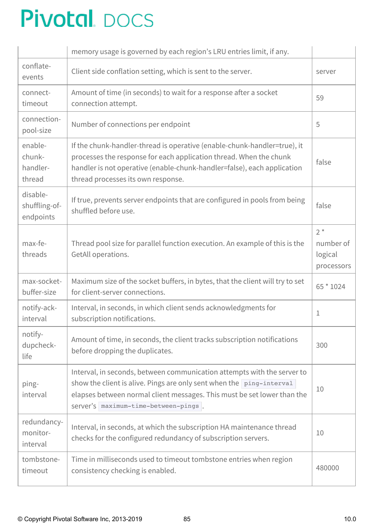|                                         | memory usage is governed by each region's LRU entries limit, if any.                                                                                                                                                                                                     |                                             |
|-----------------------------------------|--------------------------------------------------------------------------------------------------------------------------------------------------------------------------------------------------------------------------------------------------------------------------|---------------------------------------------|
| conflate-<br>events                     | Client side conflation setting, which is sent to the server.                                                                                                                                                                                                             |                                             |
| connect-<br>timeout                     | Amount of time (in seconds) to wait for a response after a socket<br>connection attempt.                                                                                                                                                                                 | 59                                          |
| connection-<br>pool-size                | Number of connections per endpoint                                                                                                                                                                                                                                       | 5                                           |
| enable-<br>chunk-<br>handler-<br>thread | If the chunk-handler-thread is operative (enable-chunk-handler=true), it<br>processes the response for each application thread. When the chunk<br>false<br>handler is not operative (enable-chunk-handler=false), each application<br>thread processes its own response. |                                             |
| disable-<br>shuffling-of-<br>endpoints  | If true, prevents server endpoints that are configured in pools from being<br>shuffled before use.                                                                                                                                                                       |                                             |
| max-fe-<br>threads                      | Thread pool size for parallel function execution. An example of this is the<br>GetAll operations.                                                                                                                                                                        | $2^*$<br>number of<br>logical<br>processors |
| max-socket-<br>buffer-size              | Maximum size of the socket buffers, in bytes, that the client will try to set<br>for client-server connections.                                                                                                                                                          | 65 * 1024                                   |
| notify-ack-<br>interval                 | Interval, in seconds, in which client sends acknowledgments for<br>subscription notifications.                                                                                                                                                                           | 1                                           |
| notify-<br>dupcheck-<br>life            | Amount of time, in seconds, the client tracks subscription notifications<br>before dropping the duplicates.                                                                                                                                                              | 300                                         |
| ping-<br>interval                       | Interval, in seconds, between communication attempts with the server to<br>show the client is alive. Pings are only sent when the ping-interval<br>elapses between normal client messages. This must be set lower than the<br>server's maximum-time-between-pings.       | 10                                          |
| redundancy-<br>monitor-<br>interval     | Interval, in seconds, at which the subscription HA maintenance thread<br>checks for the configured redundancy of subscription servers.                                                                                                                                   | 10                                          |
| tombstone-<br>timeout                   | Time in milliseconds used to timeout tombstone entries when region<br>consistency checking is enabled.                                                                                                                                                                   | 480000                                      |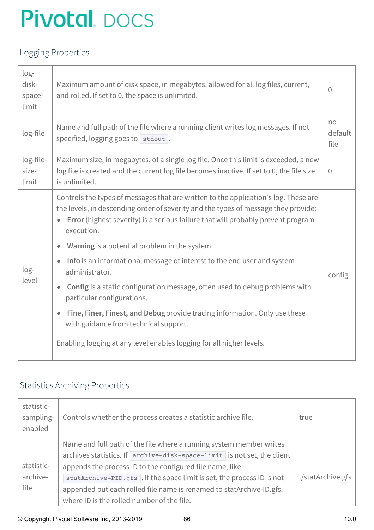### <span id="page-85-0"></span>Logging Properties

| $log-$<br>disk-<br>space-<br>limit | Maximum amount of disk space, in megabytes, allowed for all log files, current,<br>and rolled. If set to 0, the space is unlimited.                                                                                                                                                | $\overline{0}$        |
|------------------------------------|------------------------------------------------------------------------------------------------------------------------------------------------------------------------------------------------------------------------------------------------------------------------------------|-----------------------|
| log-file                           | Name and full path of the file where a running client writes log messages. If not<br>specified, logging goes to stdout.                                                                                                                                                            | no<br>default<br>file |
| log-file-<br>size-<br>limit        | Maximum size, in megabytes, of a single log file. Once this limit is exceeded, a new<br>log file is created and the current log file becomes inactive. If set to 0, the file size<br>is unlimited.                                                                                 | $\overline{0}$        |
|                                    | Controls the types of messages that are written to the application's log. These are<br>the levels, in descending order of severity and the types of message they provide:<br><b>Error</b> (highest severity) is a serious failure that will probably prevent program<br>execution. |                       |
|                                    | Warning is a potential problem in the system.                                                                                                                                                                                                                                      |                       |
| log-<br>level                      | Info is an informational message of interest to the end user and system<br>administrator.                                                                                                                                                                                          | config                |
|                                    | Config is a static configuration message, often used to debug problems with<br>$\bullet$<br>particular configurations.                                                                                                                                                             |                       |
|                                    | Fine, Finer, Finest, and Debug provide tracing information. Only use these<br>$\bullet$<br>with guidance from technical support.                                                                                                                                                   |                       |
|                                    | Enabling logging at any level enables logging for all higher levels.                                                                                                                                                                                                               |                       |

### <span id="page-85-1"></span>Statistics Archiving Properties

| statistic-<br>sampling-<br>enabled | Controls whether the process creates a statistic archive file.                                                                                                                                                                                                                                                                                                                                            | true              |
|------------------------------------|-----------------------------------------------------------------------------------------------------------------------------------------------------------------------------------------------------------------------------------------------------------------------------------------------------------------------------------------------------------------------------------------------------------|-------------------|
| statistic-<br>archive-<br>file     | Name and full path of the file where a running system member writes<br>archives statistics. If archive-disk-space-limit is not set, the client<br>appends the process ID to the configured file name, like<br>statArchive-PID.gfs. If the space limit is set, the process ID is not<br>appended but each rolled file name is renamed to statArchive-ID.gfs,<br>where ID is the rolled number of the file. | ./statArchive.gfs |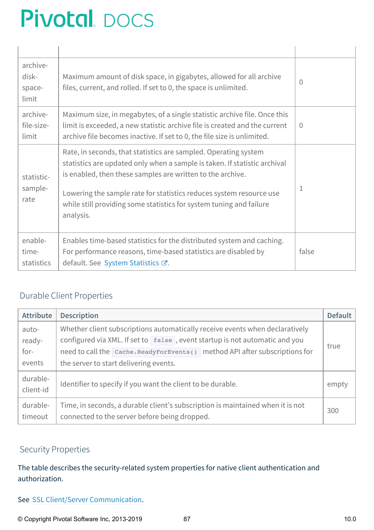| archive-<br>disk-<br>space-<br>limit | Maximum amount of disk space, in gigabytes, allowed for all archive<br>files, current, and rolled. If set to 0, the space is unlimited.                                                                                                                                                                                                                               | $\Omega$ |
|--------------------------------------|-----------------------------------------------------------------------------------------------------------------------------------------------------------------------------------------------------------------------------------------------------------------------------------------------------------------------------------------------------------------------|----------|
| archive-<br>file-size-<br>limit      | Maximum size, in megabytes, of a single statistic archive file. Once this<br>limit is exceeded, a new statistic archive file is created and the current<br>archive file becomes inactive. If set to 0, the file size is unlimited.                                                                                                                                    | $\Omega$ |
| statistic-<br>sample-<br>rate        | Rate, in seconds, that statistics are sampled. Operating system<br>statistics are updated only when a sample is taken. If statistic archival<br>is enabled, then these samples are written to the archive.<br>Lowering the sample rate for statistics reduces system resource use<br>while still providing some statistics for system tuning and failure<br>analysis. | 1        |
| enable-<br>time-<br>statistics       | Enables time-based statistics for the distributed system and caching.<br>For performance reasons, time-based statistics are disabled by<br>default. See System Statistics C.                                                                                                                                                                                          | false    |

### <span id="page-86-0"></span>Durable Client Properties

| <b>Attribute</b>                    | <b>Description</b>                                                                                                                                                                                                                                                                   | <b>Default</b> |
|-------------------------------------|--------------------------------------------------------------------------------------------------------------------------------------------------------------------------------------------------------------------------------------------------------------------------------------|----------------|
| auto-<br>ready-<br>$for-$<br>events | Whether client subscriptions automatically receive events when declaratively<br>configured via XML. If set to Ealse, event startup is not automatic and you<br>need to call the Cache. ReadyForEvents() method API after subscriptions for<br>the server to start delivering events. | true           |
| durable-                            | Identifier to specify if you want the client to be durable.                                                                                                                                                                                                                          |                |
| client-id                           | empty                                                                                                                                                                                                                                                                                |                |
| durable-                            | Time, in seconds, a durable client's subscription is maintained when it is not                                                                                                                                                                                                       |                |
| timeout                             | connected to the server before being dropped.                                                                                                                                                                                                                                        |                |

#### <span id="page-86-1"></span>Security Properties

The table describes the security-related system properties for native client authentication and authorization.

#### See SSL Client/Server [Communication](#page-65-0).

© Copyright Pivotal Software Inc, 2013-2019 87 10.0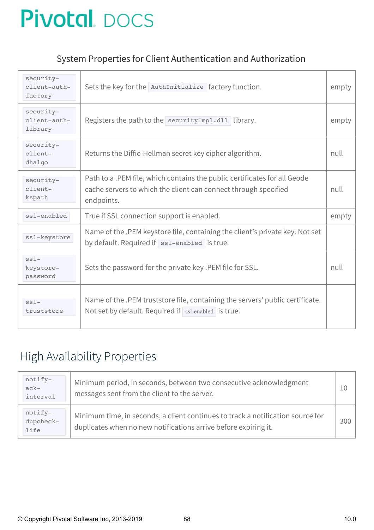### System Properties for Client Authentication and Authorization

| security-<br>client-auth-<br>factory | Sets the key for the AuthInitialize factory function.                                                                                                      | empty |
|--------------------------------------|------------------------------------------------------------------------------------------------------------------------------------------------------------|-------|
| security-<br>client-auth-<br>library | Registers the path to the security Impl.dll library.                                                                                                       | empty |
| security-<br>client-<br>dhalgo       | Returns the Diffie-Hellman secret key cipher algorithm.                                                                                                    | null  |
| security-<br>client-<br>kspath       | Path to a .PEM file, which contains the public certificates for all Geode<br>cache servers to which the client can connect through specified<br>endpoints. | null  |
| ssl-enabled                          | True if SSL connection support is enabled.                                                                                                                 | empty |
| ssl-keystore                         | Name of the .PEM keystore file, containing the client's private key. Not set<br>by default. Required if $ $ ss1-enabled is true.                           |       |
| $ss1-$<br>keystore-<br>password      | Sets the password for the private key .PEM file for SSL.                                                                                                   | null  |
| $ss1-$<br>truststore                 | Name of the .PEM truststore file, containing the servers' public certificate.<br>Not set by default. Required if ssl-enabled is true.                      |       |

## <span id="page-87-0"></span>High Availability Properties

| notify-<br>$ack-$<br>interval | Minimum period, in seconds, between two consecutive acknowledgment<br>messages sent from the client to the server.                                 | 10  |
|-------------------------------|----------------------------------------------------------------------------------------------------------------------------------------------------|-----|
| notify-<br>dupcheck-<br>life  | Minimum time, in seconds, a client continues to track a notification source for<br>duplicates when no new notifications arrive before expiring it. | 300 |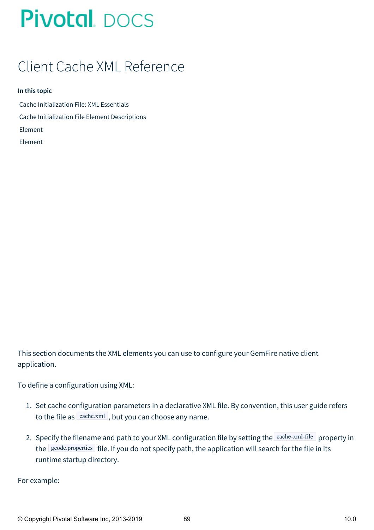## Client Cache XML Reference

#### **In this topic**

- Cache [Initialization](#page-89-0) File: XML Essentials
- Cache [Initialization](#page-90-0) File Element Descriptions
- [Element](#page-90-1)
- [Element](#page-91-0)

This section documents the XML elements you can use to configure your GemFire native client application.

To define a configuration using XML:

- 1. Set cache configuration parameters in a declarative XML file. By convention, this user guide refers to the file as  $\sqrt{\frac{c \cdot \text{c}}{n}}$ , but you can choose any name.
- 2. Specify the filename and path to your XML configuration file by setting the cache-xml-file property in the geode.properties file. If you do not specify path, the application will search for the file in its runtime startup directory.

For example: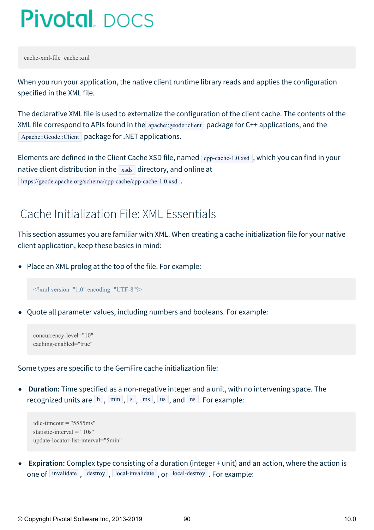cache-xml-file=cache.xml

When you run your application, the native client runtime library reads and applies the configuration specified in the XML file.

The declarative XML file is used to externalize the configuration of the client cache. The contents of the XML file correspond to APIs found in the apache::geode::client package for C++ applications, and the Apache::Geode::Client package for .NET applications.

Elements are defined in the Client Cache XSD file, named  $|$  cpp-cache-1.0.xsd , which you can find in your native client distribution in the  $x_{\text{sds}}$  directory, and online at https://geode.apache.org/schema/cpp-cache/cpp-cache-1.0.xsd .

### <span id="page-89-0"></span>Cache Initialization File: XML Essentials

This section assumes you are familiar with XML. When creating a cache initialization file for your native client application, keep these basics in mind:

Place an XML prolog at the top of the file. For example:

<?xml version="1.0" encoding="UTF-8"?>

Quote all parameter values, including numbers and booleans. For example:

concurrency-level="10" caching-enabled="true"

#### Some types are specific to the GemFire cache initialization file:

 $\bullet$ **Duration:** Time specified as a non-negative integer and a unit, with no intervening space. The recognized units are  $\lfloor h \rfloor$ ,  $\lfloor min \rfloor$ ,  $\lfloor s \rfloor$ ,  $\lfloor ms \rfloor$ , and  $\lfloor ns \rfloor$ . For example:

idle-timeout = "5555ms" statistic-interval = "10s" update-locator-list-interval="5min"

**Expiration:** Complex type consisting of a duration (integer + unit) and an action, where the action is one of invalidate, destroy, local-invalidate, or local-destroy. For example: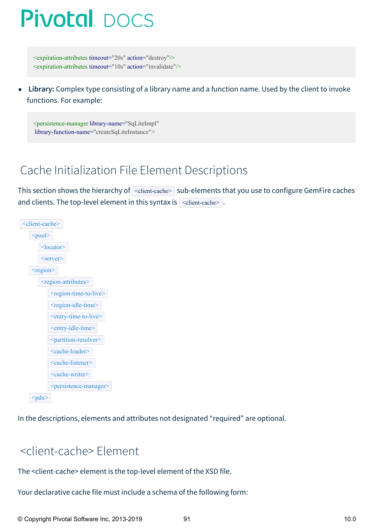<expiration-attributes timeout="20s" action="destroy"/>  $\leq$ expiration-attributes timeout="10s" action="invalidate"/>

**Library:** Complex type consisting of a library name and a function name. Used by the client to invoke  $\bullet$ functions. For example:

<persistence-manager library-name="SqLiteImpl" library-function-name="createSqLiteInstance">

## <span id="page-90-0"></span>Cache Initialization File Element Descriptions

This section shows the hierarchy of  $\leq$  client-cache> sub-elements that you use to configure GemFire caches and clients. The top-level element in this syntax is  $\vert$  <client-cache>.

| <client-cache></client-cache>               |  |
|---------------------------------------------|--|
| $<$ pool $>$                                |  |
| $<$ locator $>$                             |  |
| $<$ server $>$                              |  |
| <region></region>                           |  |
| <region-attributes></region-attributes>     |  |
| <region-time-to-live></region-time-to-live> |  |
| <region-idle-time></region-idle-time>       |  |
| <entry-time-to-live></entry-time-to-live>   |  |
| <entry-idle-time></entry-idle-time>         |  |
| <partition-resolver></partition-resolver>   |  |
| <cache-loader></cache-loader>               |  |
| <cache-listener></cache-listener>           |  |
| <cache-writer></cache-writer>               |  |
| <persistence-manager></persistence-manager> |  |
| $>$ $\leq$ $\frac{dy}{dx}$                  |  |

In the descriptions, elements and attributes not designated "required" are optional.

### <span id="page-90-1"></span><client-cache> Element

The <client-cache> element is the top-level element of the XSD file.

Your declarative cache file must include a schema of the following form: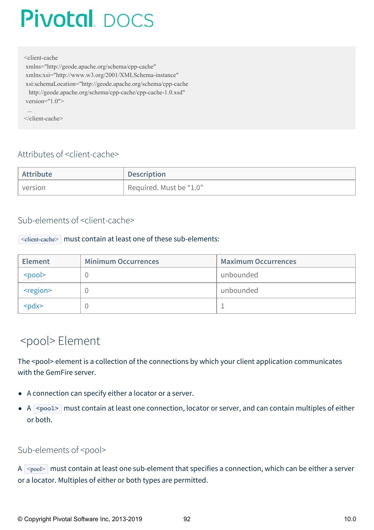<client-cache

xmlns="http://geode.apache.org/schema/cpp-cache" xmlns:xsi="http://www.w3.org/2001/XMLSchema-instance" xsi:schemaLocation="http://geode.apache.org/schema/cpp-cache http://geode.apache.org/schema/cpp-cache/cpp-cache-1.0.xsd" version="1.0"> ...

</client-cache>

### Attributes of <client-cache>

| <b>Attribute</b> | <b>Description</b>      |
|------------------|-------------------------|
| 'version         | Required. Must be "1.0" |

#### Sub-elements of <client-cache>

#### $\leq$ client-cache> must contain at least one of these sub-elements:

| <b>Element</b>    | <b>Minimum Occurrences</b> | <b>Maximum Occurrences</b> |
|-------------------|----------------------------|----------------------------|
| snool><br><b></b> | U                          | unbounded                  |
| <region></region> |                            | unbounded                  |
| :ndx>             |                            |                            |

### <span id="page-91-0"></span><pool> Element

The <pool> element is a collection of the connections by which your client application communicates with the GemFire server.

- A connection can specify either a locator or a server.
- A  $\sim$   $\mu$   $\sim$   $\mu$  must contain at least one connection, locator or server, and can contain multiples of either or both.

#### Sub-elements of <pool>

A  $\sim$   $p_{\text{cool}}$  must contain at least one sub-element that specifies a connection, which can be either a server or a locator. Multiples of either or both types are permitted.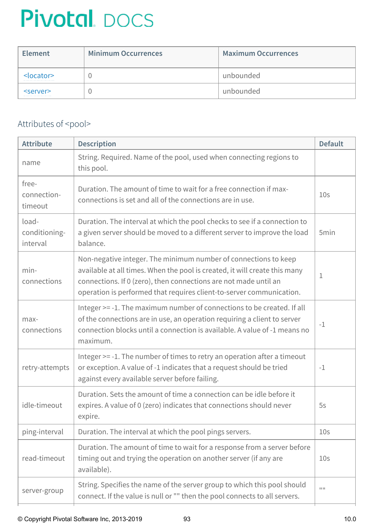| <b>Element</b>                                             | <b>Minimum Occurrences</b> | <b>Maximum Occurrences</b> |
|------------------------------------------------------------|----------------------------|----------------------------|
| $\alpha$ cator $\geq$<br>--------------------------------- |                            | unbounded                  |
| <server><br/>-----------------------------</server>        |                            | unbounded                  |

### Attributes of <pool>

| <b>Attribute</b>                   | <b>Description</b>                                                                                                                                                                                                                                                                        | <b>Default</b>   |
|------------------------------------|-------------------------------------------------------------------------------------------------------------------------------------------------------------------------------------------------------------------------------------------------------------------------------------------|------------------|
| name                               | String. Required. Name of the pool, used when connecting regions to<br>this pool.                                                                                                                                                                                                         |                  |
| free-<br>connection-<br>timeout    | Duration. The amount of time to wait for a free connection if max-<br>connections is set and all of the connections are in use.                                                                                                                                                           | 10 <sub>S</sub>  |
| load-<br>conditioning-<br>interval | Duration. The interval at which the pool checks to see if a connection to<br>a given server should be moved to a different server to improve the load<br>balance.                                                                                                                         | 5 <sub>min</sub> |
| min-<br>connections                | Non-negative integer. The minimum number of connections to keep<br>available at all times. When the pool is created, it will create this many<br>connections. If 0 (zero), then connections are not made until an<br>operation is performed that requires client-to-server communication. | $\mathbf{1}$     |
| max-<br>connections                | Integer >= -1. The maximum number of connections to be created. If all<br>of the connections are in use, an operation requiring a client to server<br>connection blocks until a connection is available. A value of -1 means no<br>maximum.                                               | $-1$             |
| retry-attempts                     | Integer >= -1. The number of times to retry an operation after a timeout<br>or exception. A value of -1 indicates that a request should be tried<br>against every available server before failing.                                                                                        | $-1$             |
| idle-timeout                       | Duration. Sets the amount of time a connection can be idle before it<br>expires. A value of 0 (zero) indicates that connections should never<br>expire.                                                                                                                                   | 5s               |
| ping-interval                      | Duration. The interval at which the pool pings servers.                                                                                                                                                                                                                                   | 10 <sub>S</sub>  |
| read-timeout                       | Duration. The amount of time to wait for a response from a server before<br>timing out and trying the operation on another server (if any are<br>available).                                                                                                                              | 10 <sub>S</sub>  |
| server-group                       | String. Specifies the name of the server group to which this pool should<br>connect. If the value is null or "" then the pool connects to all servers.                                                                                                                                    | 1111             |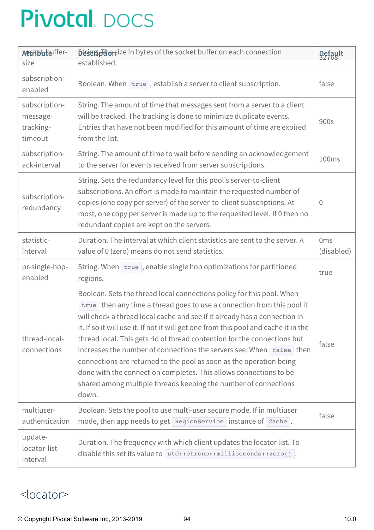| AlthButauffer-                                    | <b>Disse Epthonalieus</b> in bytes of the socket buffer on each connection                                                                                                                                                                                                                                                                                                                                                                                                                                                                                                                                                                                                                      |                               |
|---------------------------------------------------|-------------------------------------------------------------------------------------------------------------------------------------------------------------------------------------------------------------------------------------------------------------------------------------------------------------------------------------------------------------------------------------------------------------------------------------------------------------------------------------------------------------------------------------------------------------------------------------------------------------------------------------------------------------------------------------------------|-------------------------------|
| size                                              | established.                                                                                                                                                                                                                                                                                                                                                                                                                                                                                                                                                                                                                                                                                    |                               |
| subscription-<br>enabled                          | Boolean. When true, establish a server to client subscription.                                                                                                                                                                                                                                                                                                                                                                                                                                                                                                                                                                                                                                  |                               |
| subscription-<br>message-<br>tracking-<br>timeout | String. The amount of time that messages sent from a server to a client<br>will be tracked. The tracking is done to minimize duplicate events.<br>Entries that have not been modified for this amount of time are expired<br>from the list.                                                                                                                                                                                                                                                                                                                                                                                                                                                     |                               |
| subscription-<br>ack-interval                     | String. The amount of time to wait before sending an acknowledgement<br>to the server for events received from server subscriptions.                                                                                                                                                                                                                                                                                                                                                                                                                                                                                                                                                            | 100ms                         |
| subscription-<br>redundancy                       | String. Sets the redundancy level for this pool's server-to-client<br>subscriptions. An effort is made to maintain the requested number of<br>copies (one copy per server) of the server-to-client subscriptions. At<br>most, one copy per server is made up to the requested level. If 0 then no<br>redundant copies are kept on the servers.                                                                                                                                                                                                                                                                                                                                                  | $\overline{0}$                |
| statistic-<br>interval                            | Duration. The interval at which client statistics are sent to the server. A<br>value of 0 (zero) means do not send statistics.                                                                                                                                                                                                                                                                                                                                                                                                                                                                                                                                                                  | 0 <sub>ms</sub><br>(disabled) |
| pr-single-hop-<br>enabled                         | String. When true, enable single hop optimizations for partitioned<br>regions.                                                                                                                                                                                                                                                                                                                                                                                                                                                                                                                                                                                                                  | true                          |
| thread-local-<br>connections                      | Boolean. Sets the thread local connections policy for this pool. When<br>true then any time a thread goes to use a connection from this pool it<br>will check a thread local cache and see if it already has a connection in<br>it. If so it will use it. If not it will get one from this pool and cache it in the<br>thread local. This gets rid of thread contention for the connections but<br>increases the number of connections the servers see. When false then<br>connections are returned to the pool as soon as the operation being<br>done with the connection completes. This allows connections to be<br>shared among multiple threads keeping the number of connections<br>down. | false                         |
| multiuser-<br>authentication                      | Boolean. Sets the pool to use multi-user secure mode. If in multiuser<br>mode, then app needs to get RegionService instance of Cache.                                                                                                                                                                                                                                                                                                                                                                                                                                                                                                                                                           | false                         |
| update-<br>locator-list-<br>interval              | Duration. The frequency with which client updates the locator list. To<br>disable this set its value to std:: chrono:: milliseconds:: zero().                                                                                                                                                                                                                                                                                                                                                                                                                                                                                                                                                   |                               |

## <span id="page-93-0"></span><locator>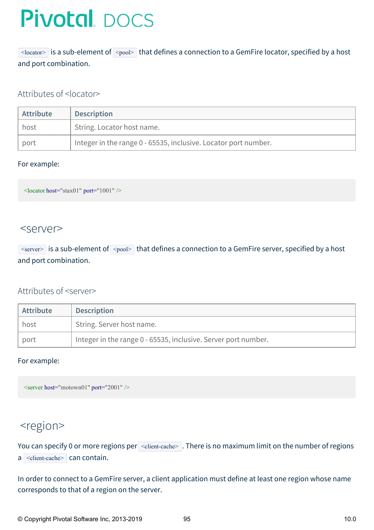$\le$ locator> is a sub-element of  $\le$ pool> that defines a connection to a GemFire locator, specified by a host and port combination.

#### Attributes of <locator>

| Attribute | <b>Description</b>                                              |
|-----------|-----------------------------------------------------------------|
| host      | String. Locator host name.                                      |
| port      | Integer in the range 0 - 65535, inclusive. Locator port number. |

#### For example:

 $\leq$ locator host="stax01" port="1001" />

### <span id="page-94-0"></span><server>

 $\leq$ server> is a sub-element of  $\leq$ pool> that defines a connection to a GemFire server, specified by a host and port combination.

#### Attributes of <server>

| Attribute | <b>Description</b>                                             |
|-----------|----------------------------------------------------------------|
| , host    | String. Server host name.                                      |
| port      | Integer in the range 0 - 65535, inclusive. Server port number. |

#### For example:

<server host="motown01" port="2001" />

### <span id="page-94-1"></span><region>

You can specify 0 or more regions per < client-cache>. There is no maximum limit on the number of regions a <client-cache> can contain.

In order to connect to a GemFire server, a client application must define at least one region whose name corresponds to that of a region on the server.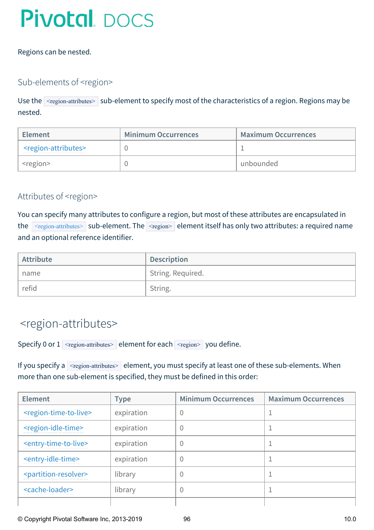#### Regions can be nested.

### Sub-elements of <region>

Use the  $\leq$   $\leq$   $\leq$   $\leq$   $\leq$   $\leq$   $\leq$   $\leq$   $\leq$   $\leq$   $\leq$   $\leq$   $\leq$   $\leq$   $\leq$   $\leq$   $\leq$   $\leq$   $\leq$   $\leq$   $\leq$   $\leq$   $\leq$   $\leq$   $\leq$   $\leq$   $\leq$   $\leq$   $\leq$   $\leq$   $\leq$   $\leq$   $\leq$   $\leq$   $\leq$   $\le$ nested.

| Element                                 | <b>Minimum Occurrences</b> | <b>Maximum Occurrences</b> |  |
|-----------------------------------------|----------------------------|----------------------------|--|
| <region-attributes></region-attributes> |                            |                            |  |
| region>                                 |                            | unbounded                  |  |

#### Attributes of <region>

You can specify many attributes to configure a region, but most of these attributes are encapsulated in the  $\leq$   $\epsilon$ <sub>region-attributes</sub> sub-element. The  $\leq$   $\epsilon$   $\epsilon$ <sub>region</sub> element itself has only two attributes: a required name and an optional reference identifier.

| <b>Attribute</b> | <b>Description</b> |
|------------------|--------------------|
| name             | String. Required.  |
| refid            | String.            |

### <span id="page-95-0"></span><region-attributes>

Specify 0 or  $1$  <region-attributes> element for each  $\leq$   $\leq$   $\leq$  you define.

If you specify a  $\leq$  region-attributes> element, you must specify at least one of these sub-elements. When more than one sub-element is specified, they must be defined in this order:

| <b>Element</b>                              | <b>Type</b> | <b>Minimum Occurrences</b> | <b>Maximum Occurrences</b> |
|---------------------------------------------|-------------|----------------------------|----------------------------|
| <region-time-to-live></region-time-to-live> | expiration  | 0                          |                            |
| <region-idle-time></region-idle-time>       | expiration  | 0                          |                            |
| <entry-time-to-live></entry-time-to-live>   | expiration  | U                          |                            |
| <entry-idle-time></entry-idle-time>         | expiration  | 0                          |                            |
| <partition-resolver></partition-resolver>   | library     | U                          |                            |
| <cache-loader></cache-loader>               | library     | U                          |                            |
|                                             |             |                            |                            |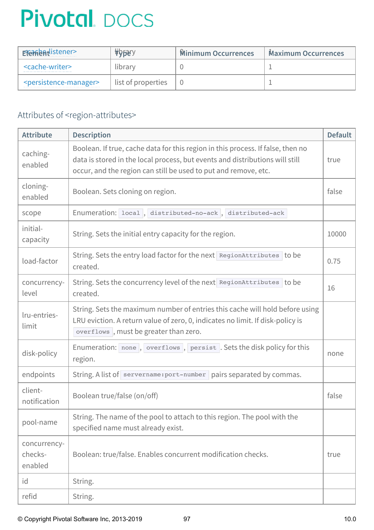| FGGGabatistener>                            | 969                | <b>Minimum Occurrences</b> | <b>Maximum Occurrences</b> |
|---------------------------------------------|--------------------|----------------------------|----------------------------|
| <cache-writer></cache-writer>               | lıbrarv            |                            |                            |
| <persistence-manager></persistence-manager> | list of properties |                            |                            |

### Attributes of <region-attributes>

| <b>Attribute</b>                   | <b>Description</b>                                                                                                                                                                                                                 | <b>Default</b> |
|------------------------------------|------------------------------------------------------------------------------------------------------------------------------------------------------------------------------------------------------------------------------------|----------------|
| caching-<br>enabled                | Boolean. If true, cache data for this region in this process. If false, then no<br>data is stored in the local process, but events and distributions will still<br>occur, and the region can still be used to put and remove, etc. | true           |
| cloning-<br>enabled                | Boolean. Sets cloning on region.                                                                                                                                                                                                   | false          |
| scope                              | Enumeration: local, distributed-no-ack, distributed-ack                                                                                                                                                                            |                |
| initial-<br>capacity               | String. Sets the initial entry capacity for the region.                                                                                                                                                                            | 10000          |
| load-factor                        | String. Sets the entry load factor for the next RegionAttributes to be<br>created.                                                                                                                                                 | 0.75           |
| concurrency-<br>level              | String. Sets the concurrency level of the next RegionAttributes to be<br>created.                                                                                                                                                  | 16             |
| Iru-entries-<br>limit              | String. Sets the maximum number of entries this cache will hold before using<br>LRU eviction. A return value of zero, 0, indicates no limit. If disk-policy is<br>overflows, must be greater than zero.                            |                |
| disk-policy                        | Enumeration: none, overflows, persist, Sets the disk policy for this<br>region.                                                                                                                                                    | none           |
| endpoints                          | String. A list of servername: port-number pairs separated by commas.                                                                                                                                                               |                |
| client-<br>notification            | Boolean true/false (on/off)                                                                                                                                                                                                        | false          |
| pool-name                          | String. The name of the pool to attach to this region. The pool with the<br>specified name must already exist.                                                                                                                     |                |
| concurrency-<br>checks-<br>enabled | Boolean: true/false. Enables concurrent modification checks.                                                                                                                                                                       | true           |
| id                                 | String.                                                                                                                                                                                                                            |                |
| refid                              | String.                                                                                                                                                                                                                            |                |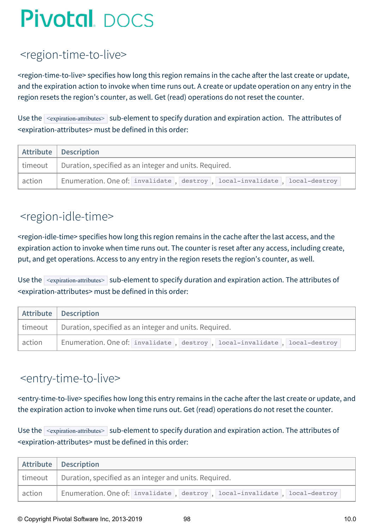## <span id="page-97-0"></span><region-time-to-live>

<region-time-to-live> specifies how long this region remains in the cache after the last create or update, and the expiration action to invoke when time runs out. A create or update operation on any entry in the region resets the region's counter, as well. Get (read) operations do not reset the counter.

Use the  $\vert$  <expiration-attributes> sub-element to specify duration and expiration action. The attributes of <expiration-attributes> must be defined in this order:

|        | Attribute Description                                                          |
|--------|--------------------------------------------------------------------------------|
|        | $\vert$ timeout $\vert$ Duration, specified as an integer and units. Required. |
| action | Enumeration. One of: invalidate, destroy, local-invalidate, local-destroy      |

## <span id="page-97-1"></span><region-idle-time>

<region-idle-time> specifies how long this region remains in the cache after the last access, and the expiration action to invoke when time runs out. The counter is reset after any access, including create, put, and get operations. Access to any entry in the region resets the region's counter, as well.

Use the  $\leq$   $\leq$   $\leq$   $\leq$   $\leq$   $\leq$   $\leq$   $\leq$   $\leq$   $\leq$   $\leq$   $\leq$   $\leq$   $\leq$   $\leq$   $\leq$   $\leq$   $\leq$   $\leq$   $\leq$   $\leq$   $\leq$   $\leq$   $\leq$   $\leq$   $\leq$   $\leq$   $\leq$   $\leq$   $\leq$   $\leq$   $\leq$   $\leq$   $\leq$   $\leq$   $\le$ <expiration-attributes> must be defined in this order:

|        | Attribute   Description                                                        |
|--------|--------------------------------------------------------------------------------|
|        | $\vert$ timeout $\vert$ Duration, specified as an integer and units. Required. |
| action | Enumeration. One of: invalidate, destroy, local-invalidate, local-destroy      |

### <span id="page-97-2"></span><entry-time-to-live>

<entry-time-to-live> specifies how long this entry remains in the cache after the last create or update, and the expiration action to invoke when time runs out. Get (read) operations do not reset the counter.

Use the  $\leq$   $\leq$   $\leq$   $\leq$   $\leq$   $\leq$   $\leq$   $\leq$   $\leq$   $\leq$   $\leq$   $\leq$   $\leq$   $\leq$   $\leq$   $\leq$   $\leq$   $\leq$   $\leq$   $\leq$   $\leq$   $\leq$   $\leq$   $\leq$   $\leq$   $\leq$   $\leq$   $\leq$   $\leq$   $\leq$   $\leq$   $\leq$   $\leq$   $\leq$   $\leq$   $\le$ <expiration-attributes> must be defined in this order:

|        | Attribute   Description                                                        |
|--------|--------------------------------------------------------------------------------|
|        | $\vert$ timeout $\vert$ Duration, specified as an integer and units. Required. |
| action | Enumeration. One of: invalidate, destroy, local-invalidate, local-destroy      |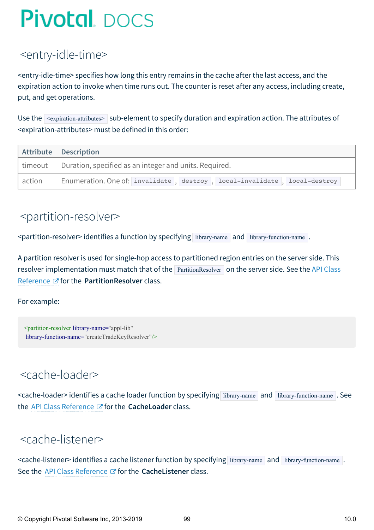## <span id="page-98-0"></span><entry-idle-time>

<entry-idle-time> specifies how long this entry remains in the cache after the last access, and the expiration action to invoke when time runs out. The counter is reset after any access, including create, put, and get operations.

Use the  $\leq$   $\leq$   $\leq$   $\leq$   $\leq$   $\leq$   $\leq$   $\leq$   $\leq$   $\leq$   $\leq$   $\leq$   $\leq$   $\leq$   $\leq$   $\leq$   $\leq$   $\leq$   $\leq$   $\leq$   $\leq$   $\leq$   $\leq$   $\leq$   $\leq$   $\leq$   $\leq$   $\leq$   $\leq$   $\leq$   $\leq$   $\leq$   $\leq$   $\leq$   $\leq$   $\le$ <expiration-attributes> must be defined in this order:

|        | Attribute   Description                                                        |
|--------|--------------------------------------------------------------------------------|
|        | $\vert$ timeout $\vert$ Duration, specified as an integer and units. Required. |
| action | Enumeration. One of: invalidate, destroy, local-invalidate, local-destroy      |

### <span id="page-98-1"></span><partition-resolver>

<partition-resolver> identifies a function by specifying library-name and library-function-name .

A partition resolver is used for single-hop access to partitioned region entries on the server side. This resolver implementation must match that of the **PartitionResolver** on the server side. See the API Class Reference for the **[PartitionResolver](http://docs-gemfire-nativeclient-staging.cfapps.io/cppdocs/hierarchy.html)** class.

For example:

<partition-resolver library-name="appl-lib" library-function-name="createTradeKeyResolver"/>

### <span id="page-98-2"></span><cache-loader>

<cache-loader> identifies a cache loader function by specifying library-name and library-function-name . See the API Class [Reference](http://docs-gemfire-nativeclient-staging.cfapps.io/cppdocs/hierarchy.html) *F* for the **CacheLoader** class.

### <span id="page-98-3"></span><cache-listener>

<cache-listener> identifies a cache listener function by specifying library-name and library-function-name . See the API Class [Reference](http://docs-gemfire-nativeclient-staging.cfapps.io/cppdocs/hierarchy.html)  $C$  for the **CacheListener** class.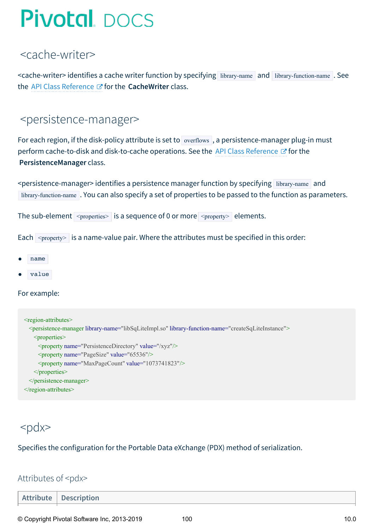### <span id="page-99-0"></span><cache-writer>

<cache-writer> identifies a cache writer function by specifying library-name and library-function-name . See the API Class [Reference](http://docs-gemfire-nativeclient-staging.cfapps.io/cppdocs/hierarchy.html) *M* for the **CacheWriter** class.

### <span id="page-99-1"></span><persistence-manager>

For each region, if the disk-policy attribute is set to overflows , a persistence-manager plug-in must perform cache-to-disk and disk-to-cache operations. See the API Class [Reference](http://docs-gemfire-nativeclient-staging.cfapps.io/cppdocs/hierarchy.html)  $\mathbb{Z}^r$  for the **PersistenceManager** class.

<persistence-manager> identifies a persistence manager function by specifying library-name and library-function-name . You can also specify a set of properties to be passed to the function as parameters.

The sub-element  $\langle$   $\gamma$   $\rangle$   $\langle$   $\rangle$  is a sequence of 0 or more  $\langle$   $\gamma$   $\rangle$   $\gamma$   $\rangle$  elements.

Each  $\langle$   $\rangle$   $\rangle$  is a name-value pair. Where the attributes must be specified in this order:

- name
- value

#### For example:

```
<region-attributes>
 <persistence-manager library-name="libSqLiteImpl.so" library-function-name="createSqLiteInstance">
   <properties>
     <property name="PersistenceDirectory" value="/xyz"/>
     <property name="PageSize" value="65536"/>
     <property name="MaxPageCount" value="1073741823"/>
   </properties>
 </persistence-manager>
\le/region-attributes>
```
### <span id="page-99-2"></span><pdx>

#### Specifies the configuration for the Portable Data eXchange (PDX) method of serialization.

#### Attributes of <pdx>

| Attribute   Description |
|-------------------------|
|                         |